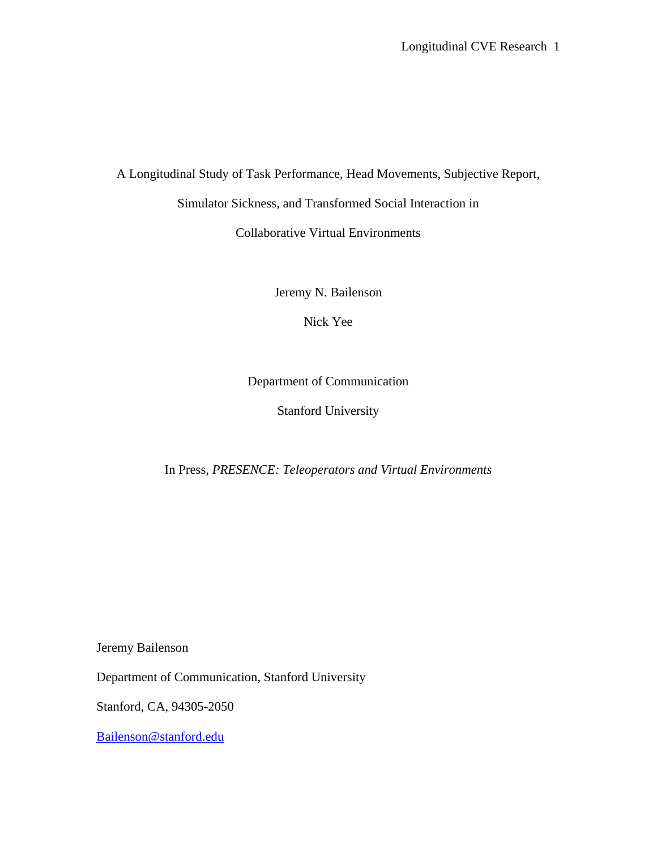A Longitudinal Study of Task Performance, Head Movements, Subjective Report,

Simulator Sickness, and Transformed Social Interaction in

Collaborative Virtual Environments

Jeremy N. Bailenson

Nick Yee

Department of Communication

Stanford University

In Press, *PRESENCE: Teleoperators and Virtual Environments* 

Jeremy Bailenson

Department of Communication, Stanford University

Stanford, CA, 94305-2050

Bailenson@stanford.edu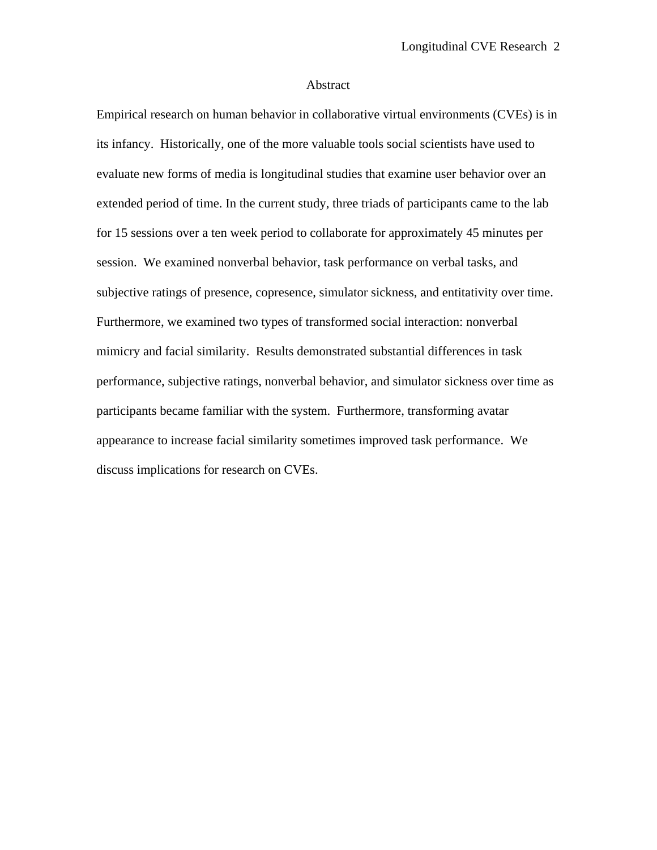#### Abstract

Empirical research on human behavior in collaborative virtual environments (CVEs) is in its infancy. Historically, one of the more valuable tools social scientists have used to evaluate new forms of media is longitudinal studies that examine user behavior over an extended period of time. In the current study, three triads of participants came to the lab for 15 sessions over a ten week period to collaborate for approximately 45 minutes per session. We examined nonverbal behavior, task performance on verbal tasks, and subjective ratings of presence, copresence, simulator sickness, and entitativity over time. Furthermore, we examined two types of transformed social interaction: nonverbal mimicry and facial similarity. Results demonstrated substantial differences in task performance, subjective ratings, nonverbal behavior, and simulator sickness over time as participants became familiar with the system. Furthermore, transforming avatar appearance to increase facial similarity sometimes improved task performance. We discuss implications for research on CVEs.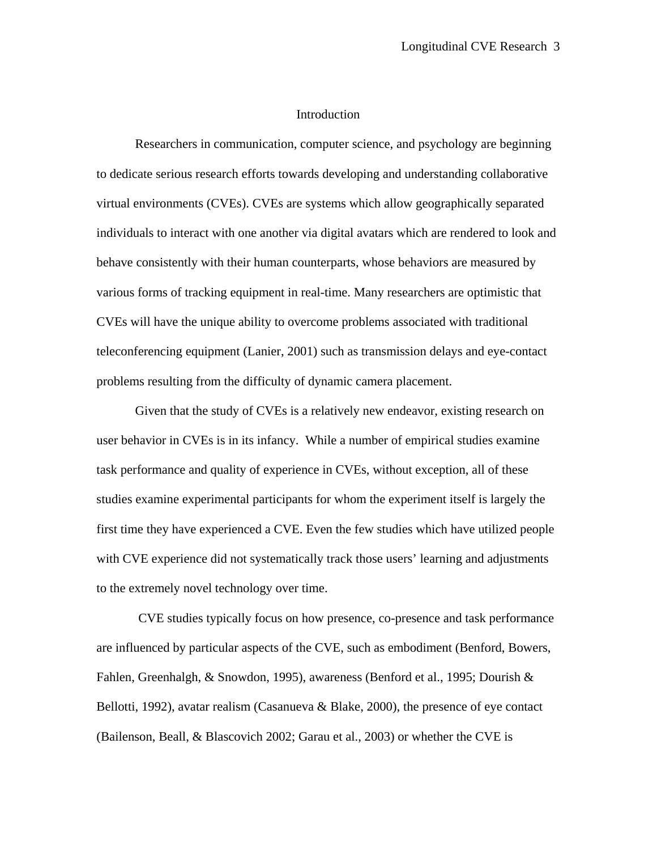#### Introduction

Researchers in communication, computer science, and psychology are beginning to dedicate serious research efforts towards developing and understanding collaborative virtual environments (CVEs). CVEs are systems which allow geographically separated individuals to interact with one another via digital avatars which are rendered to look and behave consistently with their human counterparts, whose behaviors are measured by various forms of tracking equipment in real-time. Many researchers are optimistic that CVEs will have the unique ability to overcome problems associated with traditional teleconferencing equipment (Lanier, 2001) such as transmission delays and eye-contact problems resulting from the difficulty of dynamic camera placement.

Given that the study of CVEs is a relatively new endeavor, existing research on user behavior in CVEs is in its infancy. While a number of empirical studies examine task performance and quality of experience in CVEs, without exception, all of these studies examine experimental participants for whom the experiment itself is largely the first time they have experienced a CVE. Even the few studies which have utilized people with CVE experience did not systematically track those users' learning and adjustments to the extremely novel technology over time.

 CVE studies typically focus on how presence, co-presence and task performance are influenced by particular aspects of the CVE, such as embodiment (Benford, Bowers, Fahlen, Greenhalgh, & Snowdon, 1995), awareness (Benford et al., 1995; Dourish & Bellotti, 1992), avatar realism (Casanueva & Blake, 2000), the presence of eye contact (Bailenson, Beall, & Blascovich 2002; Garau et al., 2003) or whether the CVE is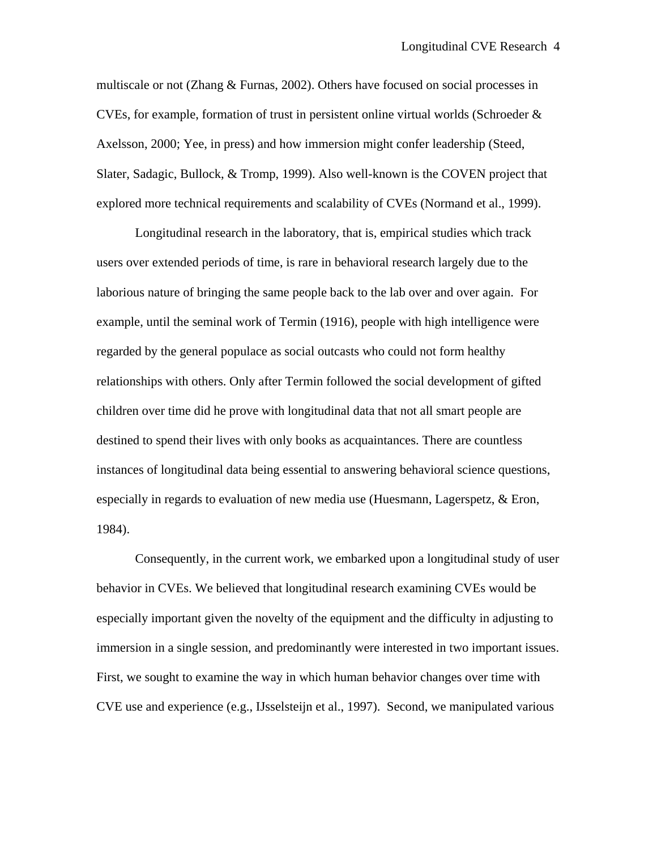multiscale or not (Zhang & Furnas, 2002). Others have focused on social processes in CVEs, for example, formation of trust in persistent online virtual worlds (Schroeder  $\&$ Axelsson, 2000; Yee, in press) and how immersion might confer leadership (Steed, Slater, Sadagic, Bullock, & Tromp, 1999). Also well-known is the COVEN project that explored more technical requirements and scalability of CVEs (Normand et al., 1999).

Longitudinal research in the laboratory, that is, empirical studies which track users over extended periods of time, is rare in behavioral research largely due to the laborious nature of bringing the same people back to the lab over and over again. For example, until the seminal work of Termin (1916), people with high intelligence were regarded by the general populace as social outcasts who could not form healthy relationships with others. Only after Termin followed the social development of gifted children over time did he prove with longitudinal data that not all smart people are destined to spend their lives with only books as acquaintances. There are countless instances of longitudinal data being essential to answering behavioral science questions, especially in regards to evaluation of new media use (Huesmann, Lagerspetz, & Eron, 1984).

Consequently, in the current work, we embarked upon a longitudinal study of user behavior in CVEs. We believed that longitudinal research examining CVEs would be especially important given the novelty of the equipment and the difficulty in adjusting to immersion in a single session, and predominantly were interested in two important issues. First, we sought to examine the way in which human behavior changes over time with CVE use and experience (e.g., IJsselsteijn et al., 1997). Second, we manipulated various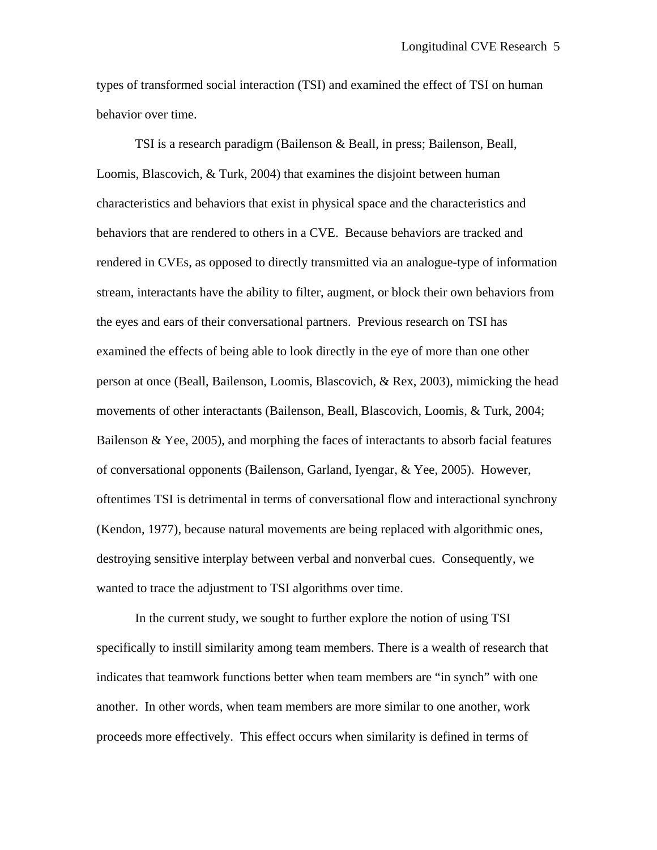types of transformed social interaction (TSI) and examined the effect of TSI on human behavior over time.

TSI is a research paradigm (Bailenson & Beall, in press; Bailenson, Beall, Loomis, Blascovich, & Turk, 2004) that examines the disjoint between human characteristics and behaviors that exist in physical space and the characteristics and behaviors that are rendered to others in a CVE. Because behaviors are tracked and rendered in CVEs, as opposed to directly transmitted via an analogue-type of information stream, interactants have the ability to filter, augment, or block their own behaviors from the eyes and ears of their conversational partners. Previous research on TSI has examined the effects of being able to look directly in the eye of more than one other person at once (Beall, Bailenson, Loomis, Blascovich, & Rex, 2003), mimicking the head movements of other interactants (Bailenson, Beall, Blascovich, Loomis, & Turk, 2004; Bailenson & Yee, 2005), and morphing the faces of interactants to absorb facial features of conversational opponents (Bailenson, Garland, Iyengar, & Yee, 2005). However, oftentimes TSI is detrimental in terms of conversational flow and interactional synchrony (Kendon, 1977), because natural movements are being replaced with algorithmic ones, destroying sensitive interplay between verbal and nonverbal cues. Consequently, we wanted to trace the adjustment to TSI algorithms over time.

In the current study, we sought to further explore the notion of using TSI specifically to instill similarity among team members. There is a wealth of research that indicates that teamwork functions better when team members are "in synch" with one another. In other words, when team members are more similar to one another, work proceeds more effectively. This effect occurs when similarity is defined in terms of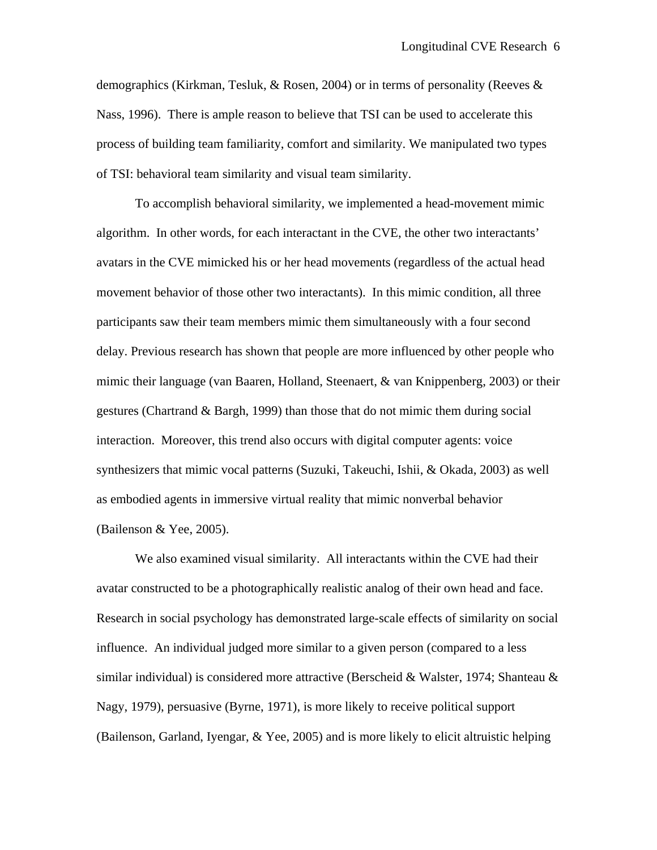demographics (Kirkman, Tesluk,  $\&$  Rosen, 2004) or in terms of personality (Reeves  $\&$ Nass, 1996). There is ample reason to believe that TSI can be used to accelerate this process of building team familiarity, comfort and similarity. We manipulated two types of TSI: behavioral team similarity and visual team similarity.

To accomplish behavioral similarity, we implemented a head-movement mimic algorithm. In other words, for each interactant in the CVE, the other two interactants' avatars in the CVE mimicked his or her head movements (regardless of the actual head movement behavior of those other two interactants). In this mimic condition, all three participants saw their team members mimic them simultaneously with a four second delay. Previous research has shown that people are more influenced by other people who mimic their language (van Baaren, Holland, Steenaert, & van Knippenberg, 2003) or their gestures (Chartrand & Bargh, 1999) than those that do not mimic them during social interaction. Moreover, this trend also occurs with digital computer agents: voice synthesizers that mimic vocal patterns (Suzuki, Takeuchi, Ishii, & Okada, 2003) as well as embodied agents in immersive virtual reality that mimic nonverbal behavior (Bailenson & Yee, 2005).

We also examined visual similarity. All interactants within the CVE had their avatar constructed to be a photographically realistic analog of their own head and face. Research in social psychology has demonstrated large-scale effects of similarity on social influence. An individual judged more similar to a given person (compared to a less similar individual) is considered more attractive (Berscheid & Walster, 1974; Shanteau & Nagy, 1979), persuasive (Byrne, 1971), is more likely to receive political support (Bailenson, Garland, Iyengar, & Yee, 2005) and is more likely to elicit altruistic helping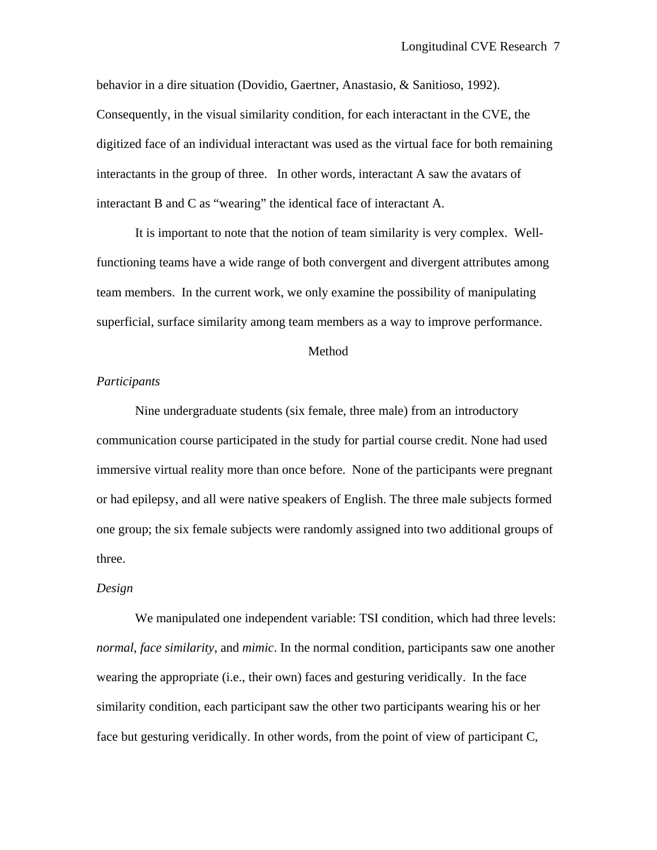behavior in a dire situation (Dovidio, Gaertner, Anastasio, & Sanitioso, 1992). Consequently, in the visual similarity condition, for each interactant in the CVE, the digitized face of an individual interactant was used as the virtual face for both remaining interactants in the group of three. In other words, interactant A saw the avatars of interactant B and C as "wearing" the identical face of interactant A.

It is important to note that the notion of team similarity is very complex. Wellfunctioning teams have a wide range of both convergent and divergent attributes among team members. In the current work, we only examine the possibility of manipulating superficial, surface similarity among team members as a way to improve performance.

### Method

#### *Participants*

Nine undergraduate students (six female, three male) from an introductory communication course participated in the study for partial course credit. None had used immersive virtual reality more than once before. None of the participants were pregnant or had epilepsy, and all were native speakers of English. The three male subjects formed one group; the six female subjects were randomly assigned into two additional groups of three.

#### *Design*

We manipulated one independent variable: TSI condition, which had three levels: *normal*, *face similarity*, and *mimic*. In the normal condition, participants saw one another wearing the appropriate (i.e., their own) faces and gesturing veridically. In the face similarity condition, each participant saw the other two participants wearing his or her face but gesturing veridically. In other words, from the point of view of participant C,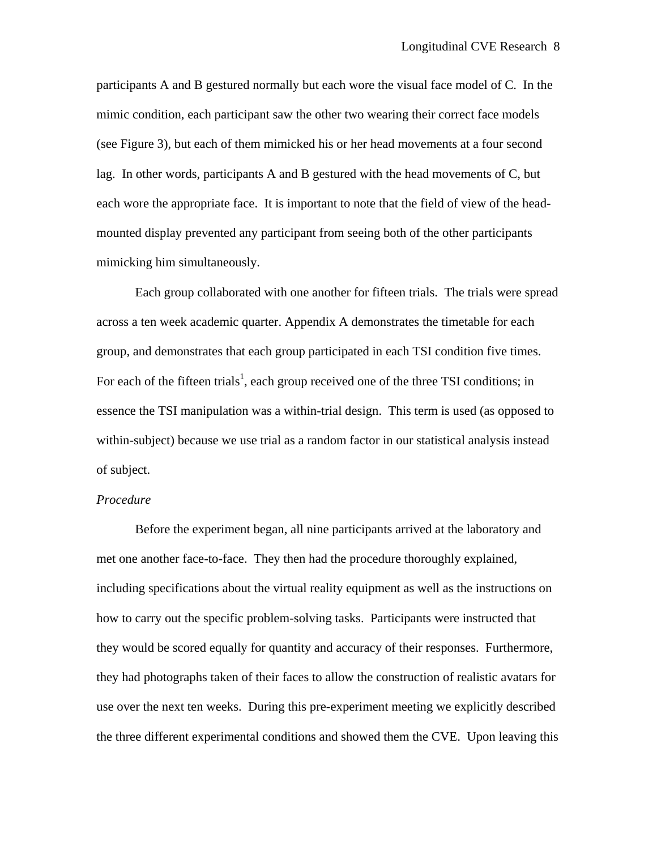participants A and B gestured normally but each wore the visual face model of C. In the mimic condition, each participant saw the other two wearing their correct face models (see Figure 3), but each of them mimicked his or her head movements at a four second lag. In other words, participants A and B gestured with the head movements of C, but each wore the appropriate face. It is important to note that the field of view of the headmounted display prevented any participant from seeing both of the other participants mimicking him simultaneously.

Each group collaborated with one another for fifteen trials. The trials were spread across a ten week academic quarter. Appendix A demonstrates the timetable for each group, and demonstrates that each group participated in each TSI condition five times. For each of the fifteen trials<sup>1</sup>, each group received one of the three TSI conditions; in essence the TSI manipulation was a within-trial design. This term is used (as opposed to within-subject) because we use trial as a random factor in our statistical analysis instead of subject.

#### *Procedure*

Before the experiment began, all nine participants arrived at the laboratory and met one another face-to-face. They then had the procedure thoroughly explained, including specifications about the virtual reality equipment as well as the instructions on how to carry out the specific problem-solving tasks. Participants were instructed that they would be scored equally for quantity and accuracy of their responses. Furthermore, they had photographs taken of their faces to allow the construction of realistic avatars for use over the next ten weeks. During this pre-experiment meeting we explicitly described the three different experimental conditions and showed them the CVE. Upon leaving this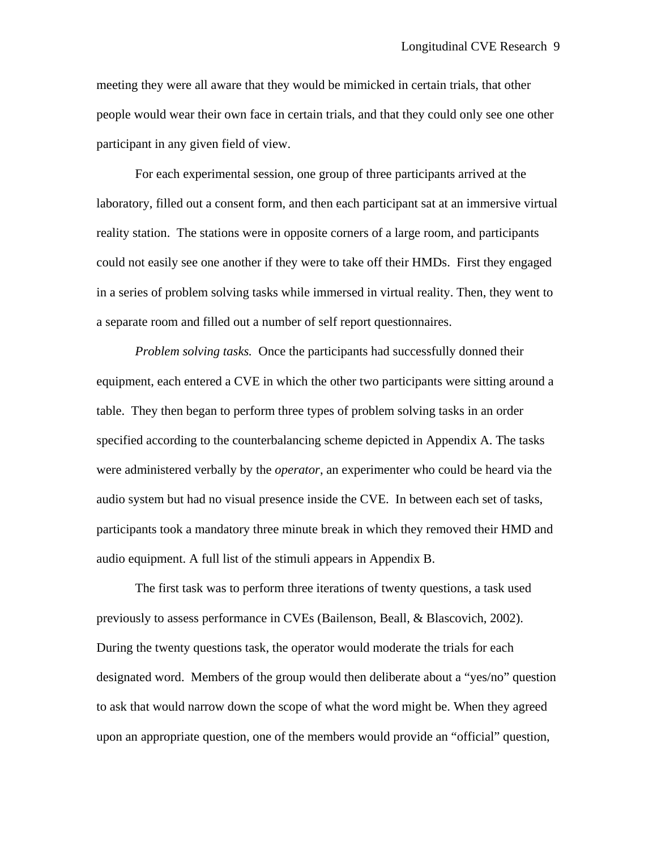meeting they were all aware that they would be mimicked in certain trials, that other people would wear their own face in certain trials, and that they could only see one other participant in any given field of view.

For each experimental session, one group of three participants arrived at the laboratory, filled out a consent form, and then each participant sat at an immersive virtual reality station. The stations were in opposite corners of a large room, and participants could not easily see one another if they were to take off their HMDs. First they engaged in a series of problem solving tasks while immersed in virtual reality. Then, they went to a separate room and filled out a number of self report questionnaires.

*Problem solving tasks.* Once the participants had successfully donned their equipment, each entered a CVE in which the other two participants were sitting around a table. They then began to perform three types of problem solving tasks in an order specified according to the counterbalancing scheme depicted in Appendix A. The tasks were administered verbally by the *operator*, an experimenter who could be heard via the audio system but had no visual presence inside the CVE. In between each set of tasks, participants took a mandatory three minute break in which they removed their HMD and audio equipment. A full list of the stimuli appears in Appendix B.

The first task was to perform three iterations of twenty questions, a task used previously to assess performance in CVEs (Bailenson, Beall, & Blascovich, 2002). During the twenty questions task, the operator would moderate the trials for each designated word. Members of the group would then deliberate about a "yes/no" question to ask that would narrow down the scope of what the word might be. When they agreed upon an appropriate question, one of the members would provide an "official" question,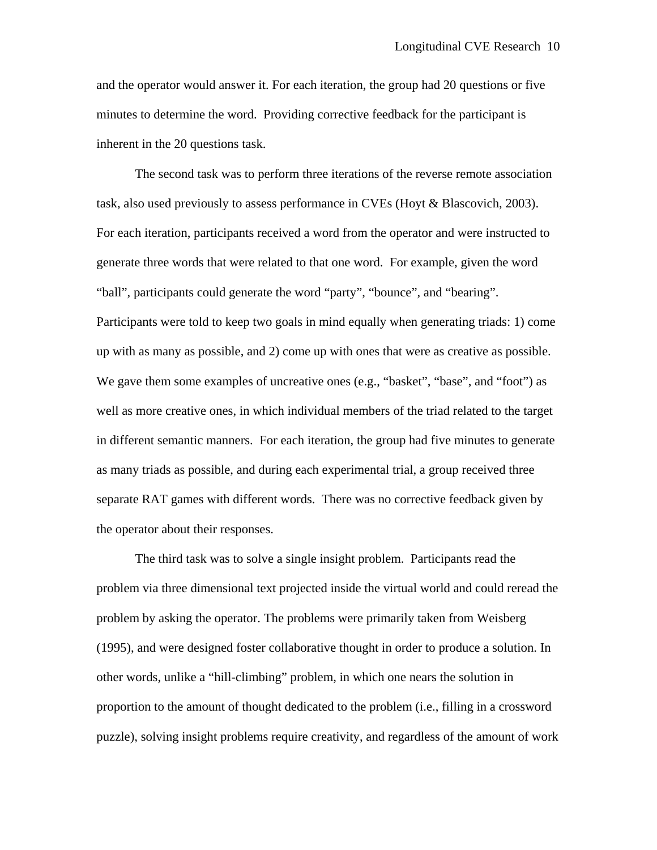and the operator would answer it. For each iteration, the group had 20 questions or five minutes to determine the word. Providing corrective feedback for the participant is inherent in the 20 questions task.

The second task was to perform three iterations of the reverse remote association task, also used previously to assess performance in CVEs (Hoyt & Blascovich, 2003). For each iteration, participants received a word from the operator and were instructed to generate three words that were related to that one word. For example, given the word "ball", participants could generate the word "party", "bounce", and "bearing". Participants were told to keep two goals in mind equally when generating triads: 1) come up with as many as possible, and 2) come up with ones that were as creative as possible. We gave them some examples of uncreative ones (e.g., "basket", "base", and "foot") as well as more creative ones, in which individual members of the triad related to the target in different semantic manners. For each iteration, the group had five minutes to generate as many triads as possible, and during each experimental trial, a group received three separate RAT games with different words. There was no corrective feedback given by the operator about their responses.

The third task was to solve a single insight problem. Participants read the problem via three dimensional text projected inside the virtual world and could reread the problem by asking the operator. The problems were primarily taken from Weisberg (1995), and were designed foster collaborative thought in order to produce a solution. In other words, unlike a "hill-climbing" problem, in which one nears the solution in proportion to the amount of thought dedicated to the problem (i.e., filling in a crossword puzzle), solving insight problems require creativity, and regardless of the amount of work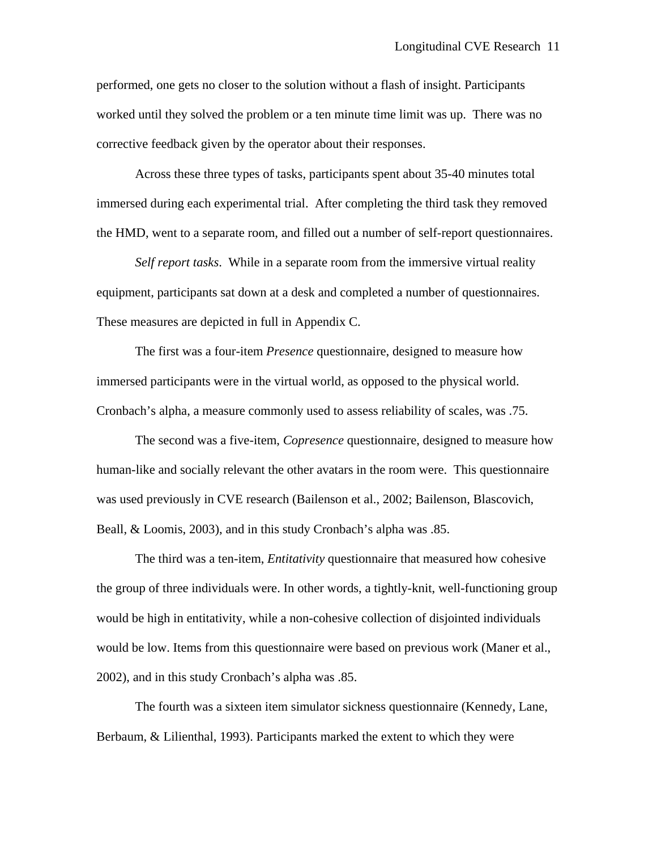performed, one gets no closer to the solution without a flash of insight. Participants worked until they solved the problem or a ten minute time limit was up. There was no corrective feedback given by the operator about their responses.

Across these three types of tasks, participants spent about 35-40 minutes total immersed during each experimental trial. After completing the third task they removed the HMD, went to a separate room, and filled out a number of self-report questionnaires.

*Self report tasks*. While in a separate room from the immersive virtual reality equipment, participants sat down at a desk and completed a number of questionnaires. These measures are depicted in full in Appendix C.

The first was a four-item *Presence* questionnaire, designed to measure how immersed participants were in the virtual world, as opposed to the physical world. Cronbach's alpha, a measure commonly used to assess reliability of scales, was .75.

The second was a five-item, *Copresence* questionnaire, designed to measure how human-like and socially relevant the other avatars in the room were. This questionnaire was used previously in CVE research (Bailenson et al., 2002; Bailenson, Blascovich, Beall, & Loomis, 2003), and in this study Cronbach's alpha was .85.

The third was a ten-item, *Entitativity* questionnaire that measured how cohesive the group of three individuals were. In other words, a tightly-knit, well-functioning group would be high in entitativity, while a non-cohesive collection of disjointed individuals would be low. Items from this questionnaire were based on previous work (Maner et al., 2002), and in this study Cronbach's alpha was .85.

The fourth was a sixteen item simulator sickness questionnaire (Kennedy, Lane, Berbaum, & Lilienthal, 1993). Participants marked the extent to which they were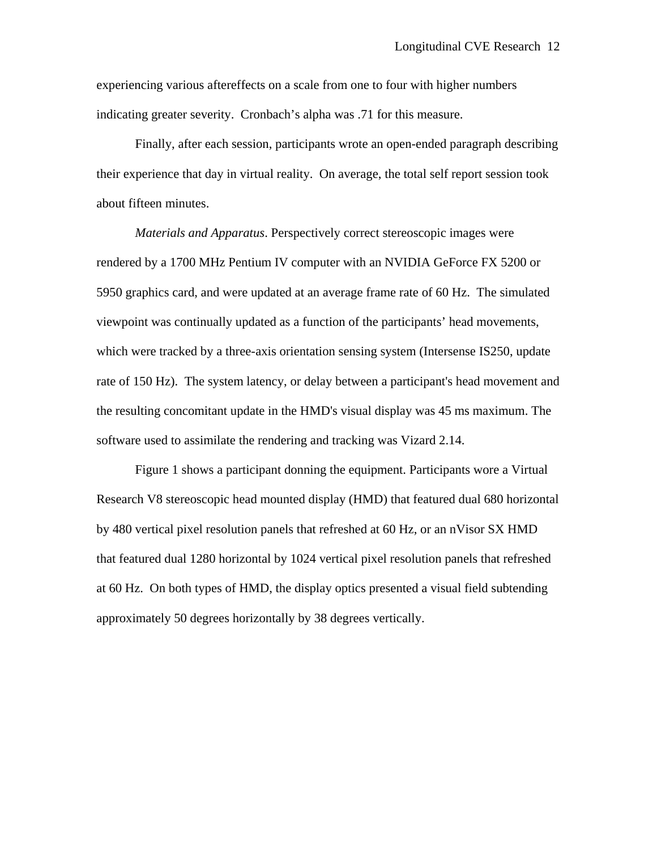experiencing various aftereffects on a scale from one to four with higher numbers indicating greater severity. Cronbach's alpha was .71 for this measure.

Finally, after each session, participants wrote an open-ended paragraph describing their experience that day in virtual reality. On average, the total self report session took about fifteen minutes.

*Materials and Apparatus*. Perspectively correct stereoscopic images were rendered by a 1700 MHz Pentium IV computer with an NVIDIA GeForce FX 5200 or 5950 graphics card, and were updated at an average frame rate of 60 Hz. The simulated viewpoint was continually updated as a function of the participants' head movements, which were tracked by a three-axis orientation sensing system (Intersense IS250, update rate of 150 Hz). The system latency, or delay between a participant's head movement and the resulting concomitant update in the HMD's visual display was 45 ms maximum. The software used to assimilate the rendering and tracking was Vizard 2.14.

Figure 1 shows a participant donning the equipment. Participants wore a Virtual Research V8 stereoscopic head mounted display (HMD) that featured dual 680 horizontal by 480 vertical pixel resolution panels that refreshed at 60 Hz, or an nVisor SX HMD that featured dual 1280 horizontal by 1024 vertical pixel resolution panels that refreshed at 60 Hz. On both types of HMD, the display optics presented a visual field subtending approximately 50 degrees horizontally by 38 degrees vertically.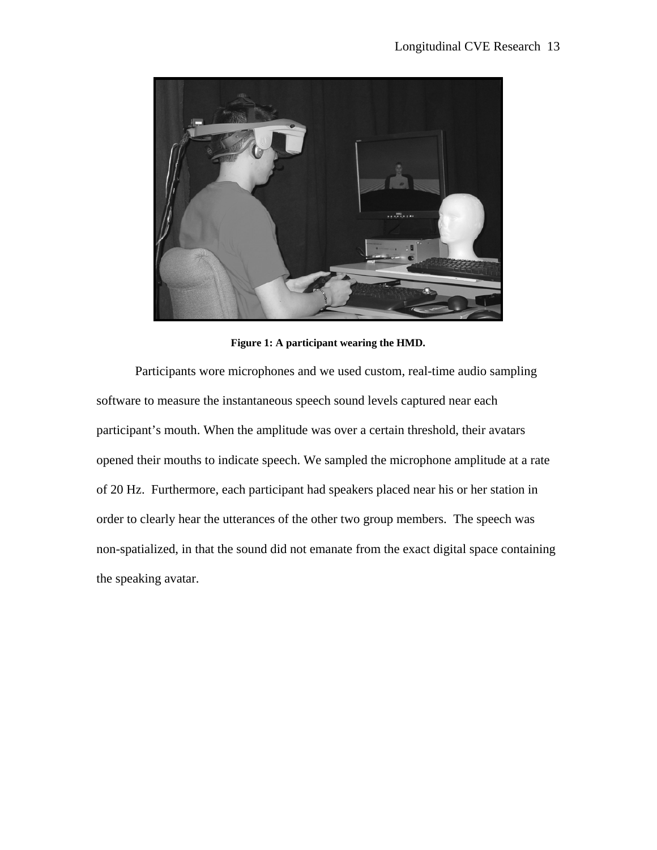

**Figure 1: A participant wearing the HMD.** 

Participants wore microphones and we used custom, real-time audio sampling software to measure the instantaneous speech sound levels captured near each participant's mouth. When the amplitude was over a certain threshold, their avatars opened their mouths to indicate speech. We sampled the microphone amplitude at a rate of 20 Hz. Furthermore, each participant had speakers placed near his or her station in order to clearly hear the utterances of the other two group members. The speech was non-spatialized, in that the sound did not emanate from the exact digital space containing the speaking avatar.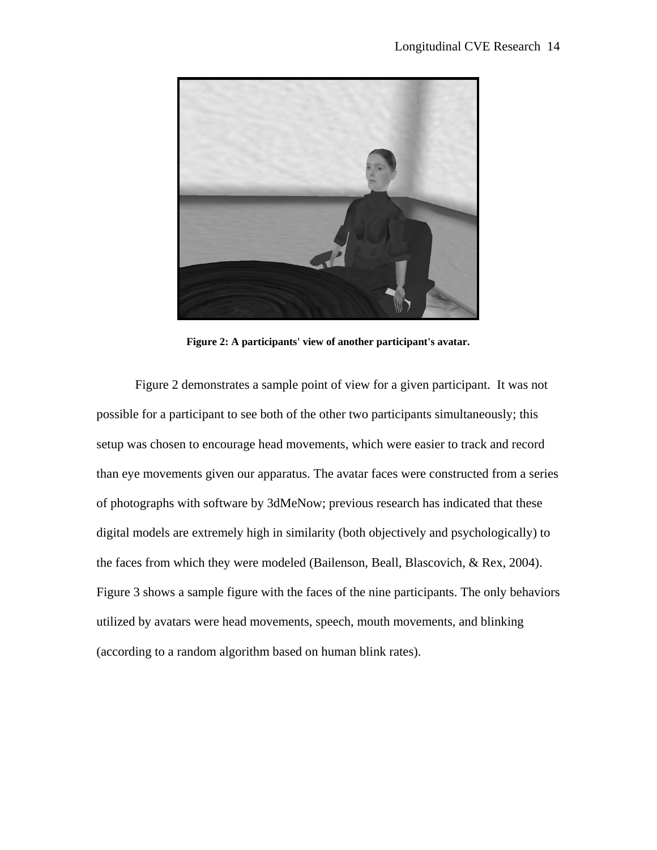

**Figure 2: A participants' view of another participant's avatar.** 

Figure 2 demonstrates a sample point of view for a given participant. It was not possible for a participant to see both of the other two participants simultaneously; this setup was chosen to encourage head movements, which were easier to track and record than eye movements given our apparatus. The avatar faces were constructed from a series of photographs with software by 3dMeNow; previous research has indicated that these digital models are extremely high in similarity (both objectively and psychologically) to the faces from which they were modeled (Bailenson, Beall, Blascovich, & Rex, 2004). Figure 3 shows a sample figure with the faces of the nine participants. The only behaviors utilized by avatars were head movements, speech, mouth movements, and blinking (according to a random algorithm based on human blink rates).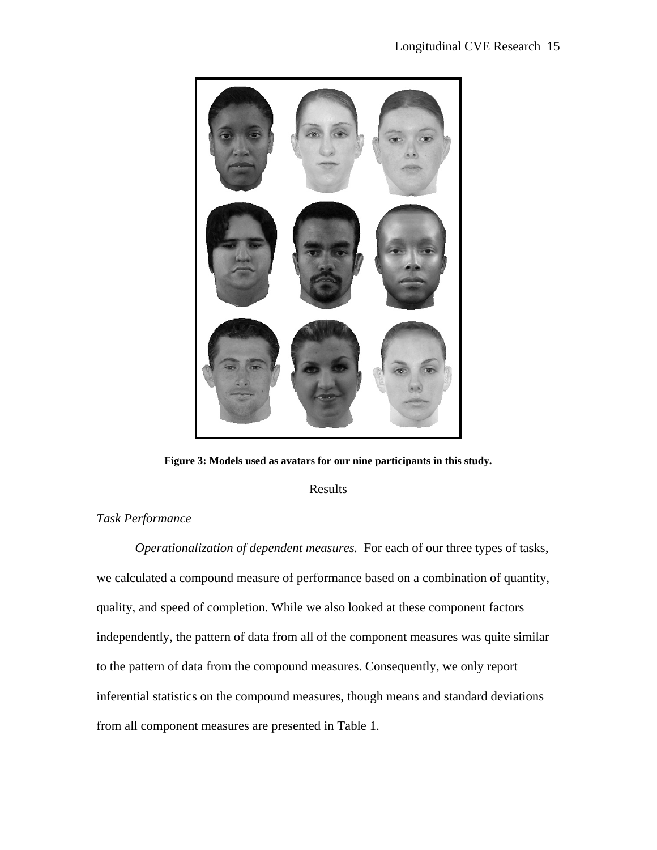

**Figure 3: Models used as avatars for our nine participants in this study.** 

#### Results

## *Task Performance*

*Operationalization of dependent measures.* For each of our three types of tasks, we calculated a compound measure of performance based on a combination of quantity, quality, and speed of completion. While we also looked at these component factors independently, the pattern of data from all of the component measures was quite similar to the pattern of data from the compound measures. Consequently, we only report inferential statistics on the compound measures, though means and standard deviations from all component measures are presented in Table 1.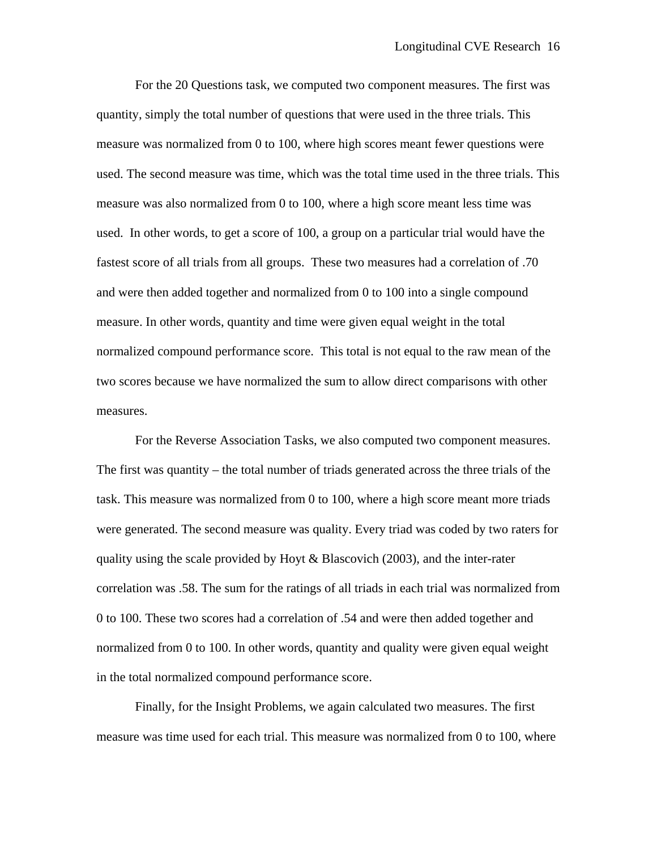For the 20 Questions task, we computed two component measures. The first was quantity, simply the total number of questions that were used in the three trials. This measure was normalized from 0 to 100, where high scores meant fewer questions were used. The second measure was time, which was the total time used in the three trials. This measure was also normalized from 0 to 100, where a high score meant less time was used. In other words, to get a score of 100, a group on a particular trial would have the fastest score of all trials from all groups. These two measures had a correlation of .70 and were then added together and normalized from 0 to 100 into a single compound measure. In other words, quantity and time were given equal weight in the total normalized compound performance score. This total is not equal to the raw mean of the two scores because we have normalized the sum to allow direct comparisons with other measures.

For the Reverse Association Tasks, we also computed two component measures. The first was quantity – the total number of triads generated across the three trials of the task. This measure was normalized from 0 to 100, where a high score meant more triads were generated. The second measure was quality. Every triad was coded by two raters for quality using the scale provided by Hoyt & Blascovich (2003), and the inter-rater correlation was .58. The sum for the ratings of all triads in each trial was normalized from 0 to 100. These two scores had a correlation of .54 and were then added together and normalized from 0 to 100. In other words, quantity and quality were given equal weight in the total normalized compound performance score.

Finally, for the Insight Problems, we again calculated two measures. The first measure was time used for each trial. This measure was normalized from 0 to 100, where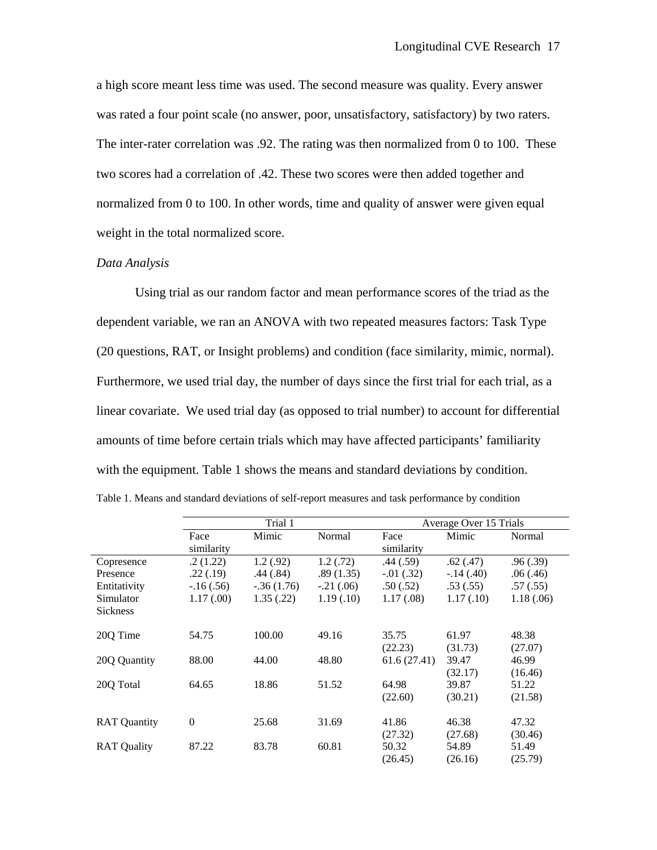a high score meant less time was used. The second measure was quality. Every answer was rated a four point scale (no answer, poor, unsatisfactory, satisfactory) by two raters. The inter-rater correlation was .92. The rating was then normalized from 0 to 100. These two scores had a correlation of .42. These two scores were then added together and normalized from 0 to 100. In other words, time and quality of answer were given equal weight in the total normalized score.

#### *Data Analysis*

Using trial as our random factor and mean performance scores of the triad as the dependent variable, we ran an ANOVA with two repeated measures factors: Task Type (20 questions, RAT, or Insight problems) and condition (face similarity, mimic, normal). Furthermore, we used trial day, the number of days since the first trial for each trial, as a linear covariate. We used trial day (as opposed to trial number) to account for differential amounts of time before certain trials which may have affected participants' familiarity with the equipment. Table 1 shows the means and standard deviations by condition. Table 1. Means and standard deviations of self-report measures and task performance by condition

|                     | Trial 1     |             |             | Average Over 15 Trials |             |           |  |
|---------------------|-------------|-------------|-------------|------------------------|-------------|-----------|--|
|                     | Face        | Mimic       | Normal      | Face                   | Mimic       | Normal    |  |
|                     | similarity  |             |             | similarity             |             |           |  |
| Copresence          | .2(1.22)    | 1.2(0.92)   | 1.2(0.72)   | .44(.59)               | .62(.47)    | .96(.39)  |  |
| Presence            | .22(.19)    | .44(.84)    | .89(1.35)   | $-.01(.32)$            | $-.14(.40)$ | .06(.46)  |  |
| Entitativity        | $-16(0.56)$ | $-36(1.76)$ | $-.21(.06)$ | .50(.52)               | .53(.55)    | .57(.55)  |  |
| Simulator           | 1.17(00)    | 1.35(.22)   | 1.19(0.10)  | 1.17(0.08)             | 1.17(0.10)  | 1.18(.06) |  |
| <b>Sickness</b>     |             |             |             |                        |             |           |  |
| 20Q Time            | 54.75       | 100.00      | 49.16       | 35.75                  | 61.97       | 48.38     |  |
|                     |             |             |             | (22.23)                | (31.73)     | (27.07)   |  |
| 20Q Quantity        | 88.00       | 44.00       | 48.80       | 61.6(27.41)            | 39.47       | 46.99     |  |
|                     |             |             |             |                        | (32.17)     | (16.46)   |  |
| 20Q Total           | 64.65       | 18.86       | 51.52       | 64.98                  | 39.87       | 51.22     |  |
|                     |             |             |             | (22.60)                | (30.21)     | (21.58)   |  |
| <b>RAT Quantity</b> | $\theta$    | 25.68       | 31.69       | 41.86                  | 46.38       | 47.32     |  |
|                     |             |             |             | (27.32)                | (27.68)     | (30.46)   |  |
| <b>RAT Quality</b>  | 87.22       | 83.78       | 60.81       | 50.32                  | 54.89       | 51.49     |  |
|                     |             |             |             | (26.45)                | (26.16)     | (25.79)   |  |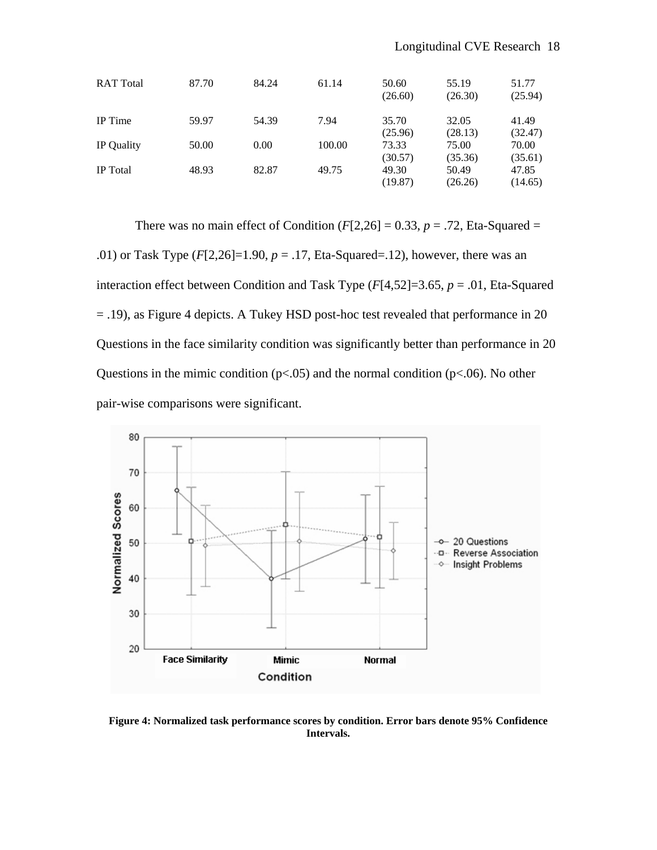| <b>RAT</b> Total | 87.70 | 84.24 | 61.14  | 50.60<br>(26.60) | 55.19<br>(26.30) | 51.77<br>(25.94) |
|------------------|-------|-------|--------|------------------|------------------|------------------|
| IP Time          | 59.97 | 54.39 | 7.94   | 35.70<br>(25.96) | 32.05<br>(28.13) | 41.49<br>(32.47) |
| IP Quality       | 50.00 | 0.00  | 100.00 | 73.33<br>(30.57) | 75.00<br>(35.36) | 70.00<br>(35.61) |
| IP Total         | 48.93 | 82.87 | 49.75  | 49.30<br>(19.87) | 50.49<br>(26.26) | 47.85<br>(14.65) |

There was no main effect of Condition  $(F[2,26] = 0.33, p = .72, \text{Eta-Squared} =$ .01) or Task Type  $(F[2,26]=1.90, p=.17, Eta-Squared=.12)$ , however, there was an interaction effect between Condition and Task Type (*F*[4,52]=3.65, *p* = .01, Eta-Squared = .19), as Figure 4 depicts. A Tukey HSD post-hoc test revealed that performance in 20 Questions in the face similarity condition was significantly better than performance in 20 Questions in the mimic condition  $(p<.05)$  and the normal condition  $(p<.06)$ . No other pair-wise comparisons were significant.



**Figure 4: Normalized task performance scores by condition. Error bars denote 95% Confidence Intervals.**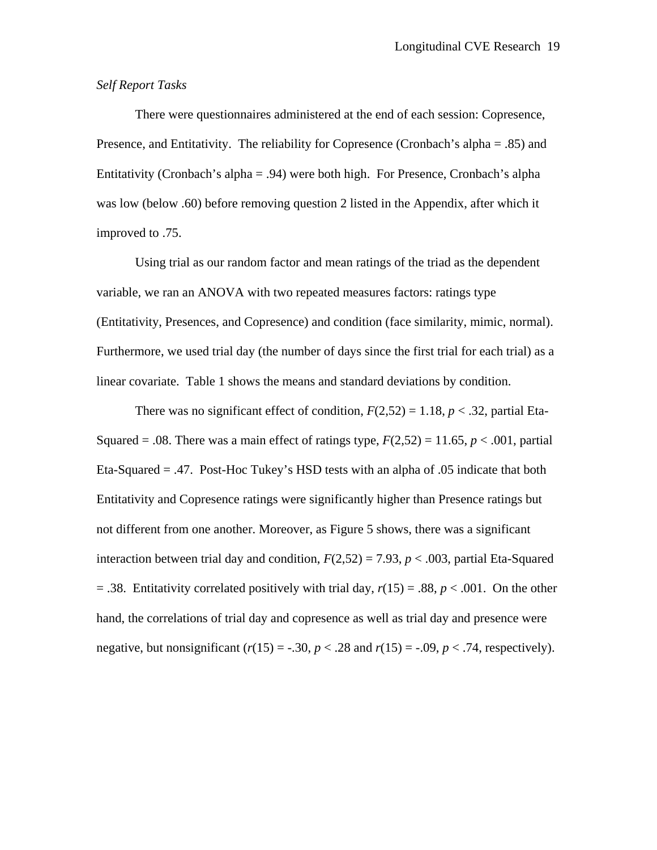### *Self Report Tasks*

There were questionnaires administered at the end of each session: Copresence, Presence, and Entitativity. The reliability for Copresence (Cronbach's alpha = .85) and Entitativity (Cronbach's alpha = .94) were both high. For Presence, Cronbach's alpha was low (below .60) before removing question 2 listed in the Appendix, after which it improved to .75.

Using trial as our random factor and mean ratings of the triad as the dependent variable, we ran an ANOVA with two repeated measures factors: ratings type (Entitativity, Presences, and Copresence) and condition (face similarity, mimic, normal). Furthermore, we used trial day (the number of days since the first trial for each trial) as a linear covariate. Table 1 shows the means and standard deviations by condition.

There was no significant effect of condition,  $F(2,52) = 1.18$ ,  $p < .32$ , partial Eta-Squared = .08. There was a main effect of ratings type,  $F(2,52) = 11.65$ ,  $p < .001$ , partial Eta-Squared = .47. Post-Hoc Tukey's HSD tests with an alpha of .05 indicate that both Entitativity and Copresence ratings were significantly higher than Presence ratings but not different from one another. Moreover, as Figure 5 shows, there was a significant interaction between trial day and condition,  $F(2,52) = 7.93$ ,  $p < .003$ , partial Eta-Squared  $= .38$ . Entitativity correlated positively with trial day,  $r(15) = .88$ ,  $p < .001$ . On the other hand, the correlations of trial day and copresence as well as trial day and presence were negative, but nonsignificant  $(r(15) = -.30, p < .28$  and  $r(15) = -.09, p < .74$ , respectively).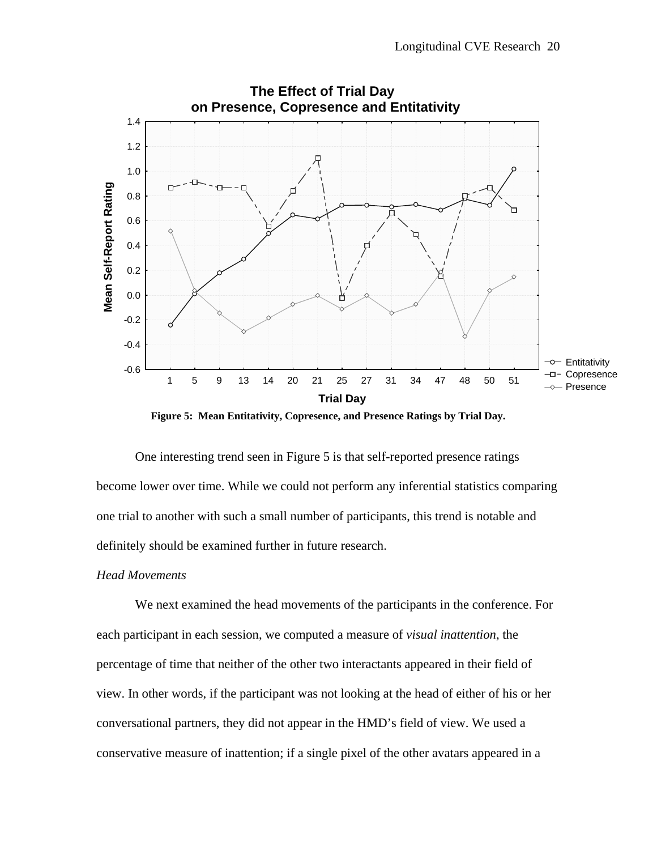

**Figure 5: Mean Entitativity, Copresence, and Presence Ratings by Trial Day.**

One interesting trend seen in Figure 5 is that self-reported presence ratings become lower over time. While we could not perform any inferential statistics comparing one trial to another with such a small number of participants, this trend is notable and definitely should be examined further in future research.

#### *Head Movements*

We next examined the head movements of the participants in the conference. For each participant in each session, we computed a measure of *visual inattention*, the percentage of time that neither of the other two interactants appeared in their field of view. In other words, if the participant was not looking at the head of either of his or her conversational partners, they did not appear in the HMD's field of view. We used a conservative measure of inattention; if a single pixel of the other avatars appeared in a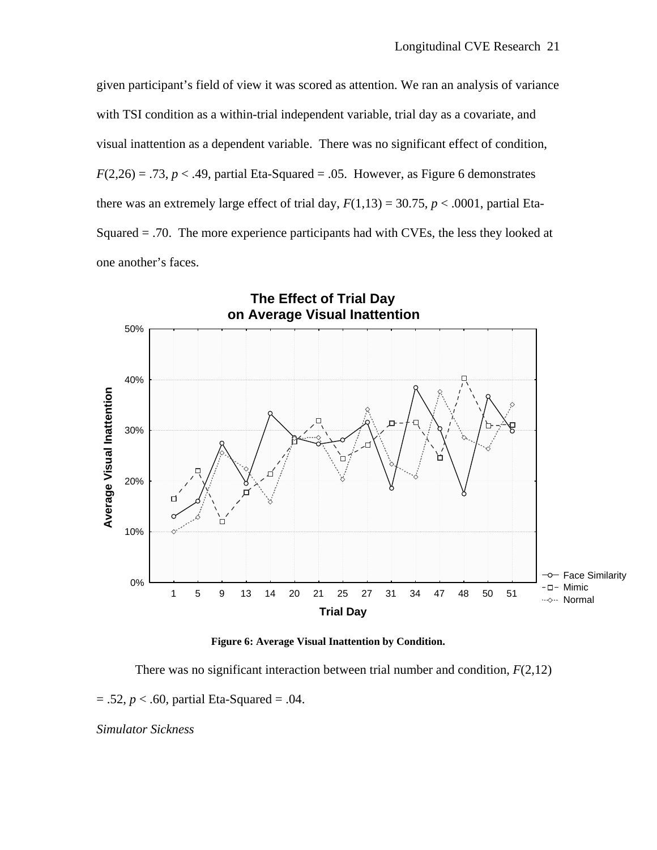given participant's field of view it was scored as attention. We ran an analysis of variance with TSI condition as a within-trial independent variable, trial day as a covariate, and visual inattention as a dependent variable. There was no significant effect of condition,  $F(2,26) = .73$ ,  $p < .49$ , partial Eta-Squared = .05. However, as Figure 6 demonstrates there was an extremely large effect of trial day,  $F(1,13) = 30.75$ ,  $p < .0001$ , partial Eta-Squared = .70. The more experience participants had with CVEs, the less they looked at one another's faces.



**Figure 6: Average Visual Inattention by Condition.** 

There was no significant interaction between trial number and condition,  $F(2,12)$  $= .52, p < .60,$  partial Eta-Squared  $= .04$ .

*Simulator Sickness*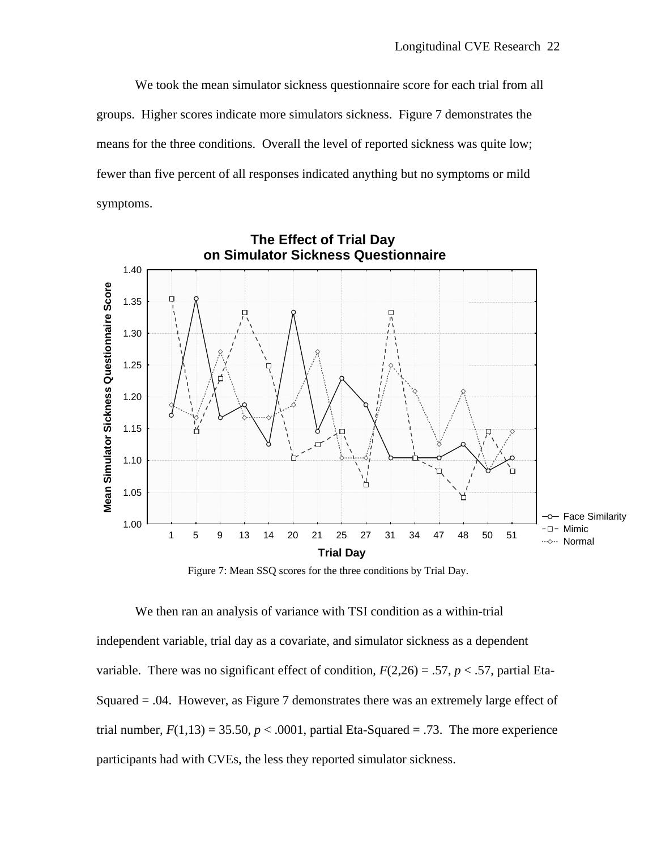We took the mean simulator sickness questionnaire score for each trial from all groups. Higher scores indicate more simulators sickness. Figure 7 demonstrates the means for the three conditions. Overall the level of reported sickness was quite low; fewer than five percent of all responses indicated anything but no symptoms or mild symptoms.



Figure 7: Mean SSQ scores for the three conditions by Trial Day.

We then ran an analysis of variance with TSI condition as a within-trial independent variable, trial day as a covariate, and simulator sickness as a dependent variable. There was no significant effect of condition,  $F(2,26) = .57$ ,  $p < .57$ , partial Eta-Squared  $= .04$ . However, as Figure 7 demonstrates there was an extremely large effect of trial number,  $F(1,13) = 35.50, p < .0001$ , partial Eta-Squared = .73. The more experience participants had with CVEs, the less they reported simulator sickness.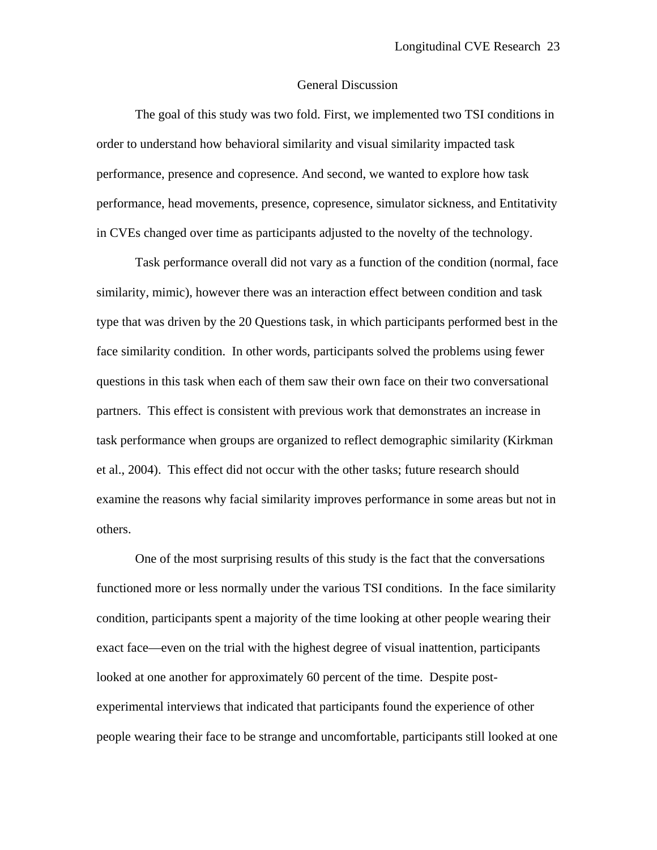#### General Discussion

The goal of this study was two fold. First, we implemented two TSI conditions in order to understand how behavioral similarity and visual similarity impacted task performance, presence and copresence. And second, we wanted to explore how task performance, head movements, presence, copresence, simulator sickness, and Entitativity in CVEs changed over time as participants adjusted to the novelty of the technology.

Task performance overall did not vary as a function of the condition (normal, face similarity, mimic), however there was an interaction effect between condition and task type that was driven by the 20 Questions task, in which participants performed best in the face similarity condition. In other words, participants solved the problems using fewer questions in this task when each of them saw their own face on their two conversational partners. This effect is consistent with previous work that demonstrates an increase in task performance when groups are organized to reflect demographic similarity (Kirkman et al., 2004). This effect did not occur with the other tasks; future research should examine the reasons why facial similarity improves performance in some areas but not in others.

One of the most surprising results of this study is the fact that the conversations functioned more or less normally under the various TSI conditions. In the face similarity condition, participants spent a majority of the time looking at other people wearing their exact face—even on the trial with the highest degree of visual inattention, participants looked at one another for approximately 60 percent of the time. Despite postexperimental interviews that indicated that participants found the experience of other people wearing their face to be strange and uncomfortable, participants still looked at one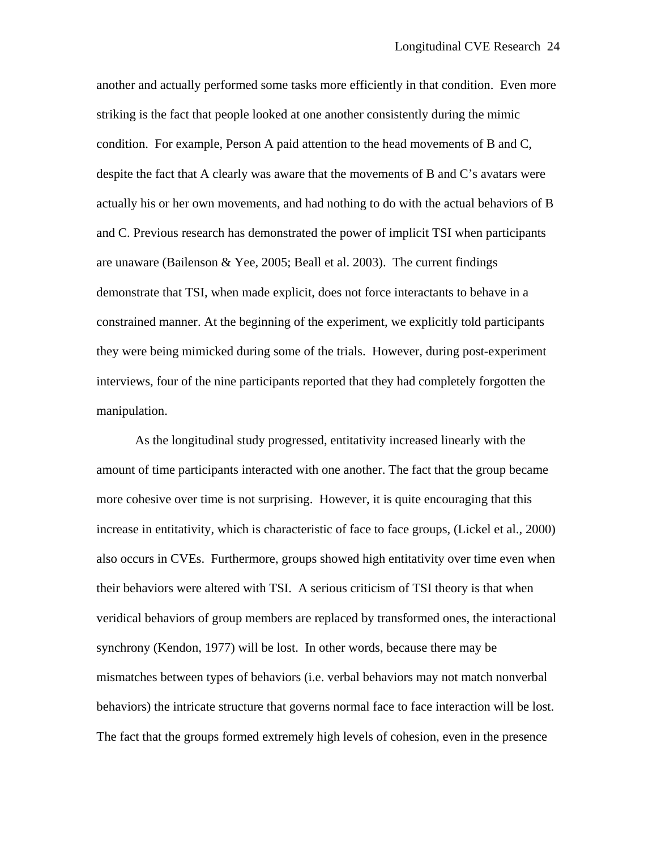another and actually performed some tasks more efficiently in that condition. Even more striking is the fact that people looked at one another consistently during the mimic condition. For example, Person A paid attention to the head movements of B and C, despite the fact that A clearly was aware that the movements of B and C's avatars were actually his or her own movements, and had nothing to do with the actual behaviors of B and C. Previous research has demonstrated the power of implicit TSI when participants are unaware (Bailenson & Yee, 2005; Beall et al. 2003). The current findings demonstrate that TSI, when made explicit, does not force interactants to behave in a constrained manner. At the beginning of the experiment, we explicitly told participants they were being mimicked during some of the trials. However, during post-experiment interviews, four of the nine participants reported that they had completely forgotten the manipulation.

As the longitudinal study progressed, entitativity increased linearly with the amount of time participants interacted with one another. The fact that the group became more cohesive over time is not surprising. However, it is quite encouraging that this increase in entitativity, which is characteristic of face to face groups, (Lickel et al., 2000) also occurs in CVEs. Furthermore, groups showed high entitativity over time even when their behaviors were altered with TSI. A serious criticism of TSI theory is that when veridical behaviors of group members are replaced by transformed ones, the interactional synchrony (Kendon, 1977) will be lost. In other words, because there may be mismatches between types of behaviors (i.e. verbal behaviors may not match nonverbal behaviors) the intricate structure that governs normal face to face interaction will be lost. The fact that the groups formed extremely high levels of cohesion, even in the presence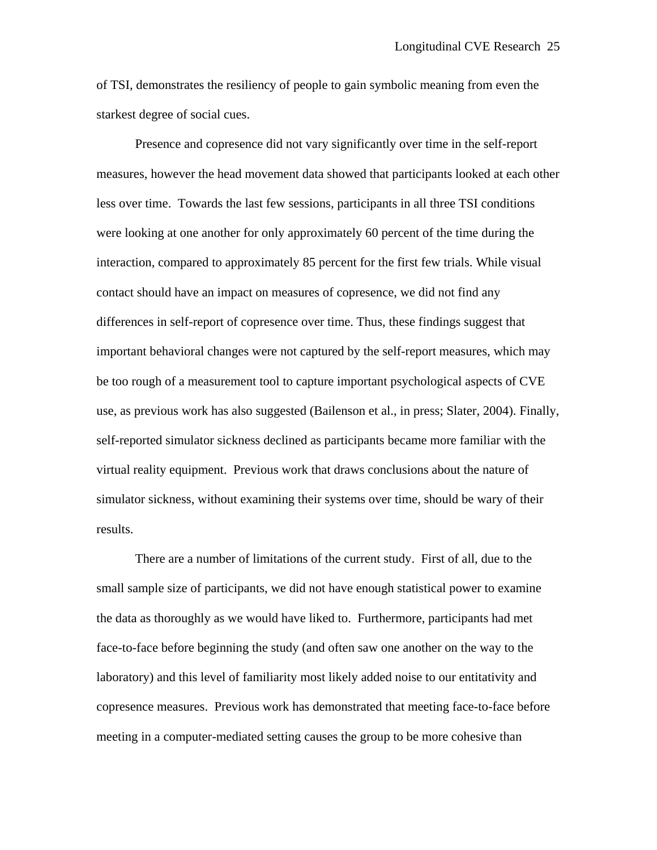of TSI, demonstrates the resiliency of people to gain symbolic meaning from even the starkest degree of social cues.

Presence and copresence did not vary significantly over time in the self-report measures, however the head movement data showed that participants looked at each other less over time. Towards the last few sessions, participants in all three TSI conditions were looking at one another for only approximately 60 percent of the time during the interaction, compared to approximately 85 percent for the first few trials. While visual contact should have an impact on measures of copresence, we did not find any differences in self-report of copresence over time. Thus, these findings suggest that important behavioral changes were not captured by the self-report measures, which may be too rough of a measurement tool to capture important psychological aspects of CVE use, as previous work has also suggested (Bailenson et al., in press; Slater, 2004). Finally, self-reported simulator sickness declined as participants became more familiar with the virtual reality equipment. Previous work that draws conclusions about the nature of simulator sickness, without examining their systems over time, should be wary of their results.

There are a number of limitations of the current study. First of all, due to the small sample size of participants, we did not have enough statistical power to examine the data as thoroughly as we would have liked to. Furthermore, participants had met face-to-face before beginning the study (and often saw one another on the way to the laboratory) and this level of familiarity most likely added noise to our entitativity and copresence measures. Previous work has demonstrated that meeting face-to-face before meeting in a computer-mediated setting causes the group to be more cohesive than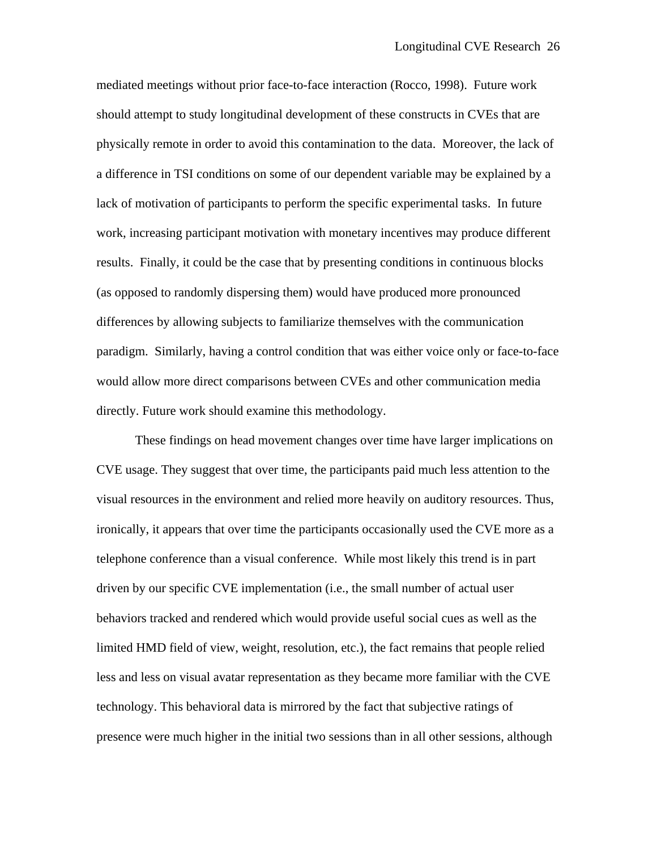mediated meetings without prior face-to-face interaction (Rocco, 1998). Future work should attempt to study longitudinal development of these constructs in CVEs that are physically remote in order to avoid this contamination to the data. Moreover, the lack of a difference in TSI conditions on some of our dependent variable may be explained by a lack of motivation of participants to perform the specific experimental tasks. In future work, increasing participant motivation with monetary incentives may produce different results. Finally, it could be the case that by presenting conditions in continuous blocks (as opposed to randomly dispersing them) would have produced more pronounced differences by allowing subjects to familiarize themselves with the communication paradigm. Similarly, having a control condition that was either voice only or face-to-face would allow more direct comparisons between CVEs and other communication media directly. Future work should examine this methodology.

These findings on head movement changes over time have larger implications on CVE usage. They suggest that over time, the participants paid much less attention to the visual resources in the environment and relied more heavily on auditory resources. Thus, ironically, it appears that over time the participants occasionally used the CVE more as a telephone conference than a visual conference. While most likely this trend is in part driven by our specific CVE implementation (i.e., the small number of actual user behaviors tracked and rendered which would provide useful social cues as well as the limited HMD field of view, weight, resolution, etc.), the fact remains that people relied less and less on visual avatar representation as they became more familiar with the CVE technology. This behavioral data is mirrored by the fact that subjective ratings of presence were much higher in the initial two sessions than in all other sessions, although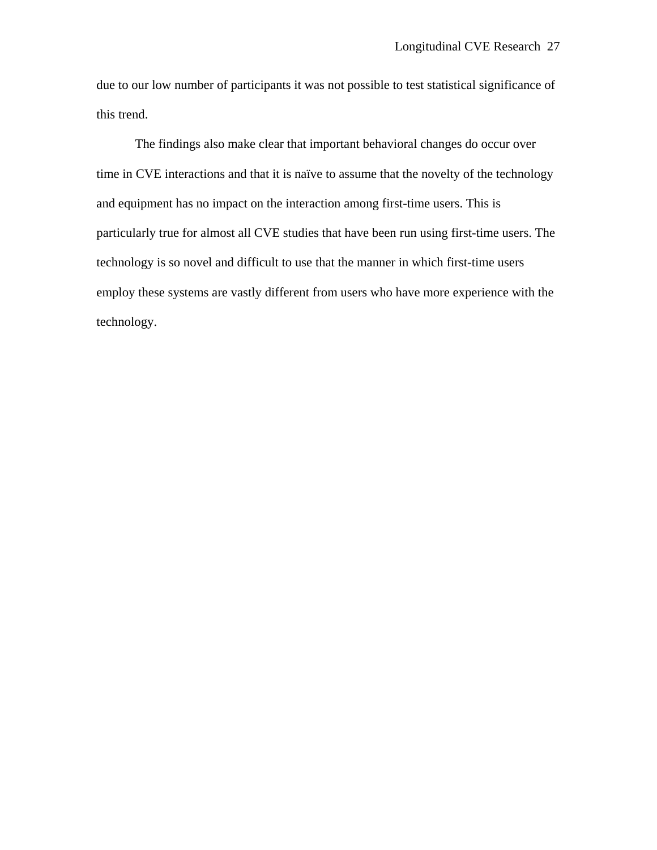due to our low number of participants it was not possible to test statistical significance of this trend.

The findings also make clear that important behavioral changes do occur over time in CVE interactions and that it is naïve to assume that the novelty of the technology and equipment has no impact on the interaction among first-time users. This is particularly true for almost all CVE studies that have been run using first-time users. The technology is so novel and difficult to use that the manner in which first-time users employ these systems are vastly different from users who have more experience with the technology.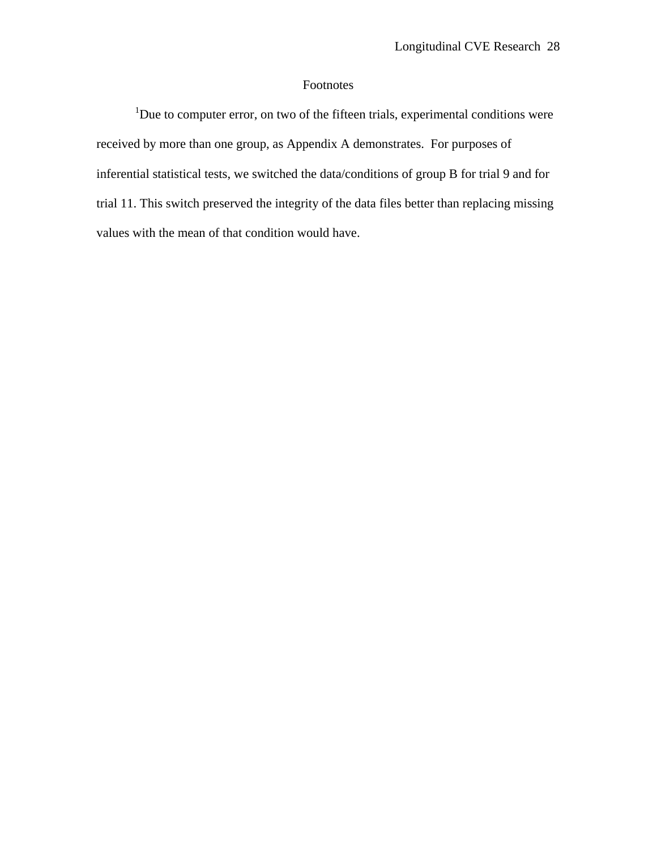# Footnotes

<sup>1</sup>Due to computer error, on two of the fifteen trials, experimental conditions were received by more than one group, as Appendix A demonstrates. For purposes of inferential statistical tests, we switched the data/conditions of group B for trial 9 and for trial 11. This switch preserved the integrity of the data files better than replacing missing values with the mean of that condition would have.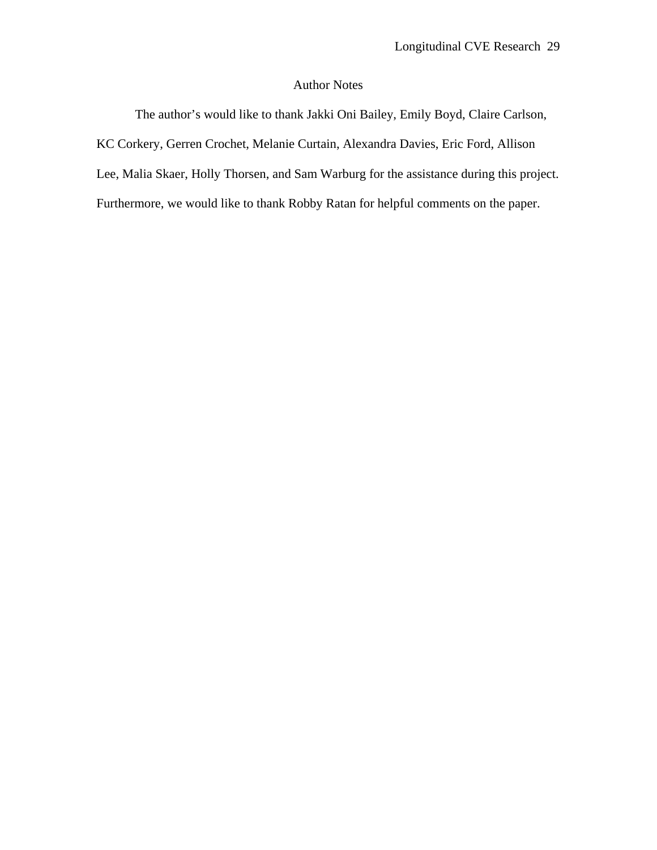# Author Notes

The author's would like to thank Jakki Oni Bailey, Emily Boyd, Claire Carlson, KC Corkery, Gerren Crochet, Melanie Curtain, Alexandra Davies, Eric Ford, Allison Lee, Malia Skaer, Holly Thorsen, and Sam Warburg for the assistance during this project. Furthermore, we would like to thank Robby Ratan for helpful comments on the paper.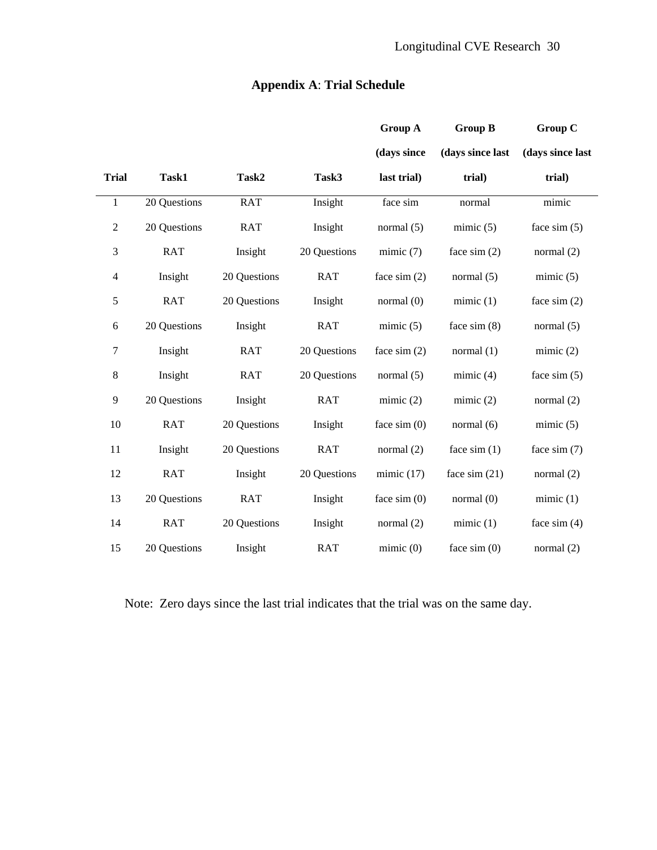|                |              |              |              | <b>Group A</b> | <b>Group B</b>   | Group C          |
|----------------|--------------|--------------|--------------|----------------|------------------|------------------|
|                |              |              |              | (days since    | (days since last | (days since last |
| <b>Trial</b>   | Task1        | Task2        | Task3        | last trial)    | trial)           | trial)           |
| 1              | 20 Questions | <b>RAT</b>   | Insight      | face sim       | normal           | mimic            |
| $\overline{2}$ | 20 Questions | <b>RAT</b>   | Insight      | normal $(5)$   | minic(5)         | face $\sin(5)$   |
| 3              | <b>RAT</b>   | Insight      | 20 Questions | mimic $(7)$    | face $\sin(2)$   | normal $(2)$     |
| $\overline{4}$ | Insight      | 20 Questions | <b>RAT</b>   | face $\sin(2)$ | normal $(5)$     | mimic $(5)$      |
| 5              | <b>RAT</b>   | 20 Questions | Insight      | normal (0)     | minic(1)         | face $\sin(2)$   |
| 6              | 20 Questions | Insight      | <b>RAT</b>   | mimic $(5)$    | face $\sin(8)$   | normal $(5)$     |
| 7              | Insight      | <b>RAT</b>   | 20 Questions | face $\sin(2)$ | normal $(1)$     | mimic $(2)$      |
| 8              | Insight      | <b>RAT</b>   | 20 Questions | normal $(5)$   | mimic $(4)$      | face $\sin(5)$   |
| 9              | 20 Questions | Insight      | <b>RAT</b>   | mimic $(2)$    | mimic $(2)$      | normal $(2)$     |
| 10             | <b>RAT</b>   | 20 Questions | Insight      | face $\sin(0)$ | normal (6)       | mimic $(5)$      |
| 11             | Insight      | 20 Questions | <b>RAT</b>   | normal (2)     | face $\sin(1)$   | face $\sin(7)$   |
| 12             | <b>RAT</b>   | Insight      | 20 Questions | mimic $(17)$   | face $\sin(21)$  | normal $(2)$     |
| 13             | 20 Questions | <b>RAT</b>   | Insight      | face $\sin(0)$ | normal (0)       | mimic(1)         |
| 14             | <b>RAT</b>   | 20 Questions | Insight      | normal (2)     | mimic(1)         | face $\sin(4)$   |
| 15             | 20 Questions | Insight      | <b>RAT</b>   | minic(0)       | face $\sin(0)$   | normal $(2)$     |

# **Appendix A**: **Trial Schedule**

Note: Zero days since the last trial indicates that the trial was on the same day.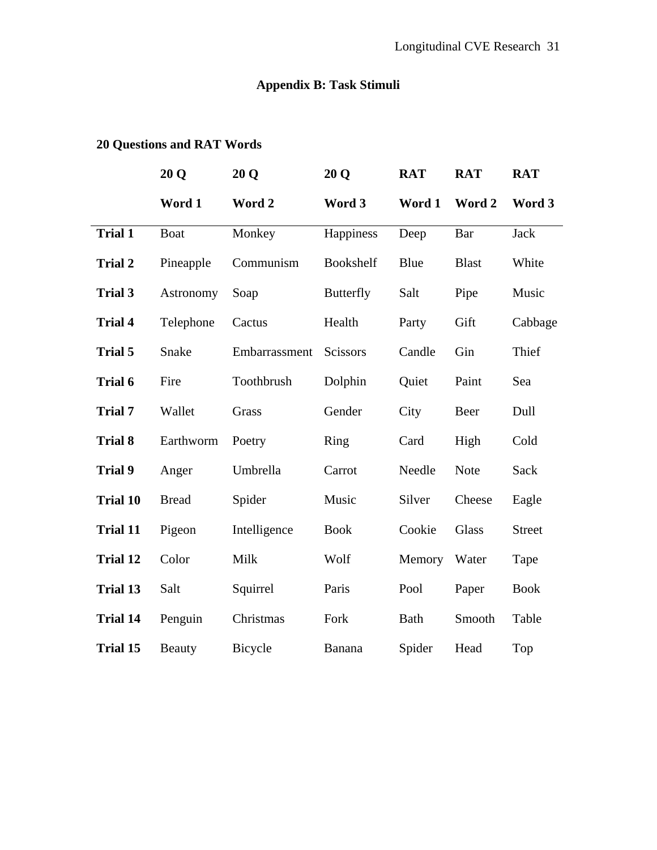# **Appendix B: Task Stimuli**

# **20 Questions and RAT Words**

|                 | 20 Q          | 20 Q          | 20 Q             | <b>RAT</b>  | <b>RAT</b>   | <b>RAT</b>    |
|-----------------|---------------|---------------|------------------|-------------|--------------|---------------|
|                 | Word 1        | Word 2        | Word 3           | Word 1      | Word 2       | Word 3        |
| <b>Trial 1</b>  | <b>Boat</b>   | Monkey        | Happiness        | Deep        | Bar          | <b>Jack</b>   |
| <b>Trial 2</b>  | Pineapple     | Communism     | Bookshelf        | Blue        | <b>Blast</b> | White         |
| Trial 3         | Astronomy     | Soap          | <b>Butterfly</b> | Salt        | Pipe         | Music         |
| <b>Trial 4</b>  | Telephone     | Cactus        | Health           | Party       | Gift         | Cabbage       |
| Trial 5         | Snake         | Embarrassment | Scissors         | Candle      | Gin          | Thief         |
| Trial 6         | Fire          | Toothbrush    | Dolphin          | Quiet       | Paint        | Sea           |
| <b>Trial 7</b>  | Wallet        | Grass         | Gender           | City        | Beer         | Dull          |
| <b>Trial 8</b>  | Earthworm     | Poetry        | Ring             | Card        | High         | Cold          |
| <b>Trial 9</b>  | Anger         | Umbrella      | Carrot           | Needle      | <b>Note</b>  | Sack          |
| <b>Trial 10</b> | <b>Bread</b>  | Spider        | Music            | Silver      | Cheese       | Eagle         |
| Trial 11        | Pigeon        | Intelligence  | <b>Book</b>      | Cookie      | Glass        | <b>Street</b> |
| <b>Trial 12</b> | Color         | Milk          | Wolf             | Memory      | Water        | Tape          |
| Trial 13        | Salt          | Squirrel      | Paris            | Pool        | Paper        | <b>Book</b>   |
| <b>Trial 14</b> | Penguin       | Christmas     | Fork             | <b>Bath</b> | Smooth       | Table         |
| Trial 15        | <b>Beauty</b> | Bicycle       | Banana           | Spider      | Head         | Top           |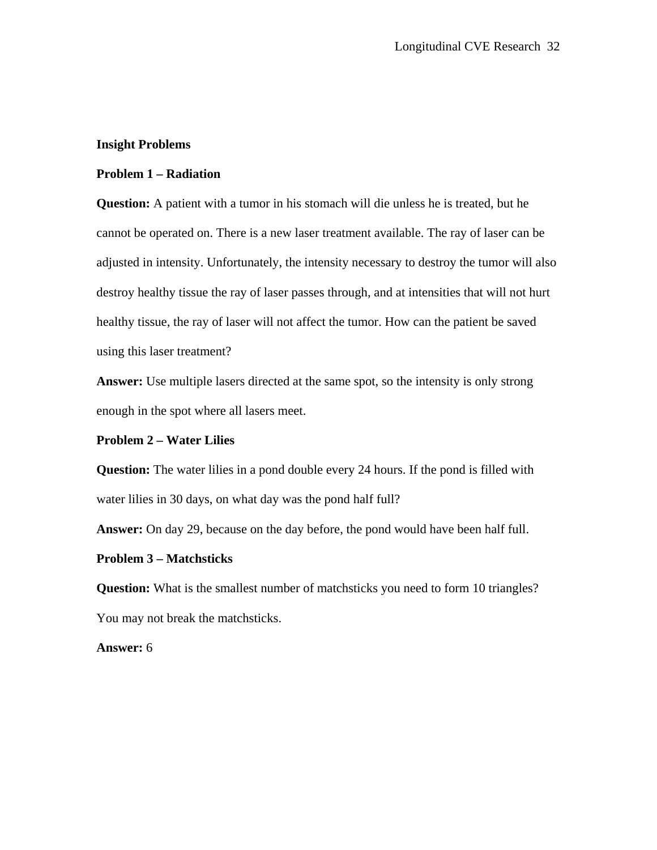#### **Insight Problems**

#### **Problem 1 – Radiation**

**Question:** A patient with a tumor in his stomach will die unless he is treated, but he cannot be operated on. There is a new laser treatment available. The ray of laser can be adjusted in intensity. Unfortunately, the intensity necessary to destroy the tumor will also destroy healthy tissue the ray of laser passes through, and at intensities that will not hurt healthy tissue, the ray of laser will not affect the tumor. How can the patient be saved using this laser treatment?

**Answer:** Use multiple lasers directed at the same spot, so the intensity is only strong enough in the spot where all lasers meet.

#### **Problem 2 – Water Lilies**

**Question:** The water lilies in a pond double every 24 hours. If the pond is filled with water lilies in 30 days, on what day was the pond half full?

**Answer:** On day 29, because on the day before, the pond would have been half full.

#### **Problem 3 – Matchsticks**

**Question:** What is the smallest number of matchsticks you need to form 10 triangles? You may not break the matchsticks.

**Answer:** 6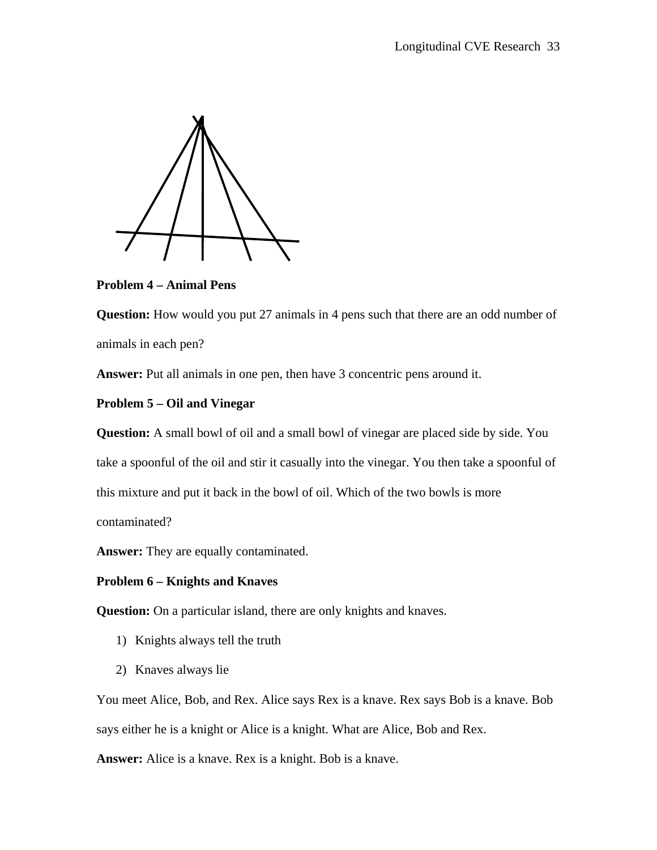

**Problem 4 – Animal Pens** 

**Question:** How would you put 27 animals in 4 pens such that there are an odd number of animals in each pen?

**Answer:** Put all animals in one pen, then have 3 concentric pens around it.

# **Problem 5 – Oil and Vinegar**

**Question:** A small bowl of oil and a small bowl of vinegar are placed side by side. You take a spoonful of the oil and stir it casually into the vinegar. You then take a spoonful of this mixture and put it back in the bowl of oil. Which of the two bowls is more contaminated?

**Answer:** They are equally contaminated.

# **Problem 6 – Knights and Knaves**

**Question:** On a particular island, there are only knights and knaves.

- 1) Knights always tell the truth
- 2) Knaves always lie

You meet Alice, Bob, and Rex. Alice says Rex is a knave. Rex says Bob is a knave. Bob

says either he is a knight or Alice is a knight. What are Alice, Bob and Rex.

**Answer:** Alice is a knave. Rex is a knight. Bob is a knave.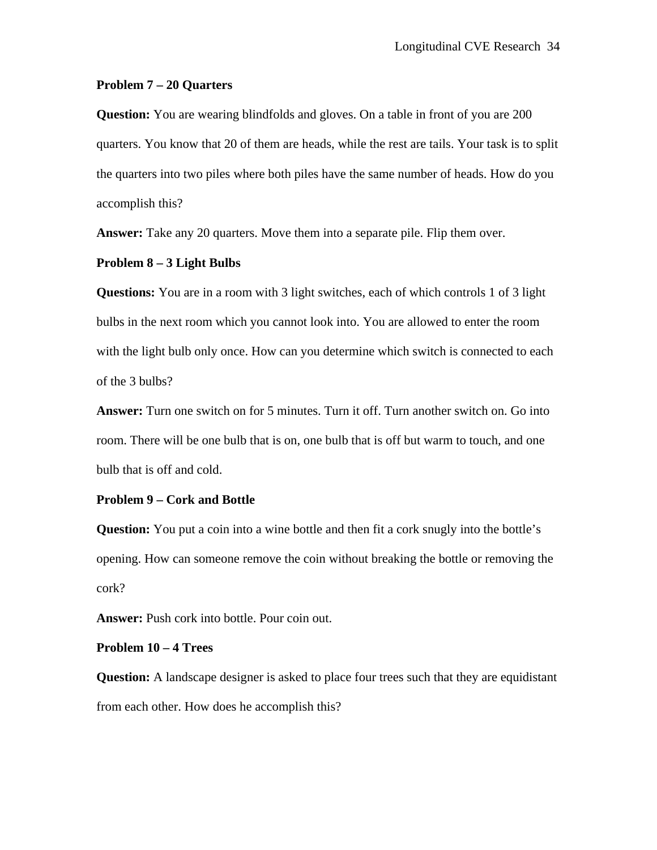#### **Problem 7 – 20 Quarters**

**Question:** You are wearing blindfolds and gloves. On a table in front of you are 200 quarters. You know that 20 of them are heads, while the rest are tails. Your task is to split the quarters into two piles where both piles have the same number of heads. How do you accomplish this?

**Answer:** Take any 20 quarters. Move them into a separate pile. Flip them over.

### **Problem 8 – 3 Light Bulbs**

**Questions:** You are in a room with 3 light switches, each of which controls 1 of 3 light bulbs in the next room which you cannot look into. You are allowed to enter the room with the light bulb only once. How can you determine which switch is connected to each of the 3 bulbs?

**Answer:** Turn one switch on for 5 minutes. Turn it off. Turn another switch on. Go into room. There will be one bulb that is on, one bulb that is off but warm to touch, and one bulb that is off and cold.

#### **Problem 9 – Cork and Bottle**

**Question:** You put a coin into a wine bottle and then fit a cork snugly into the bottle's opening. How can someone remove the coin without breaking the bottle or removing the cork?

**Answer:** Push cork into bottle. Pour coin out.

#### **Problem 10 – 4 Trees**

**Question:** A landscape designer is asked to place four trees such that they are equidistant from each other. How does he accomplish this?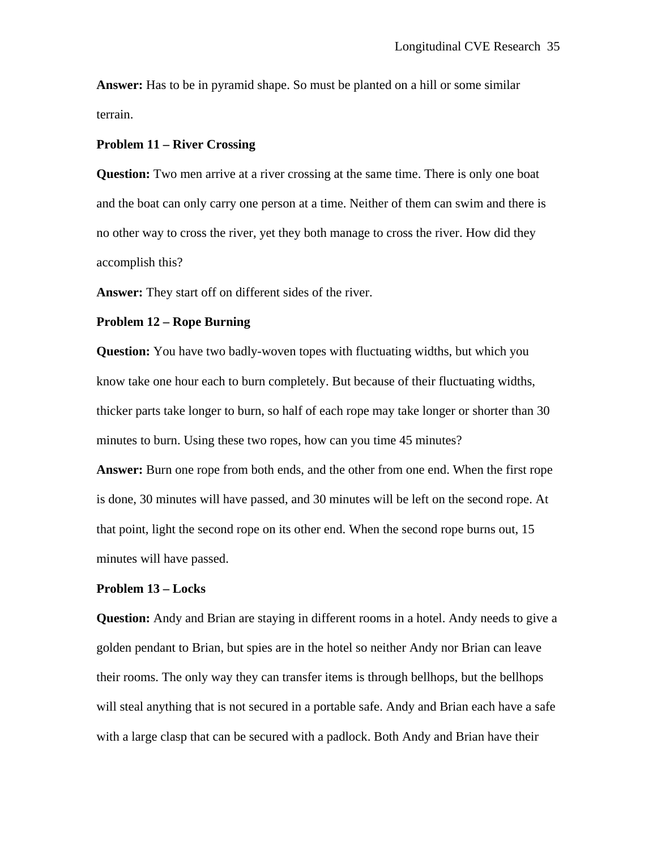**Answer:** Has to be in pyramid shape. So must be planted on a hill or some similar terrain.

#### **Problem 11 – River Crossing**

**Question:** Two men arrive at a river crossing at the same time. There is only one boat and the boat can only carry one person at a time. Neither of them can swim and there is no other way to cross the river, yet they both manage to cross the river. How did they accomplish this?

**Answer:** They start off on different sides of the river.

#### **Problem 12 – Rope Burning**

**Question:** You have two badly-woven topes with fluctuating widths, but which you know take one hour each to burn completely. But because of their fluctuating widths, thicker parts take longer to burn, so half of each rope may take longer or shorter than 30 minutes to burn. Using these two ropes, how can you time 45 minutes?

**Answer:** Burn one rope from both ends, and the other from one end. When the first rope is done, 30 minutes will have passed, and 30 minutes will be left on the second rope. At that point, light the second rope on its other end. When the second rope burns out, 15 minutes will have passed.

#### **Problem 13 – Locks**

**Question:** Andy and Brian are staying in different rooms in a hotel. Andy needs to give a golden pendant to Brian, but spies are in the hotel so neither Andy nor Brian can leave their rooms. The only way they can transfer items is through bellhops, but the bellhops will steal anything that is not secured in a portable safe. Andy and Brian each have a safe with a large clasp that can be secured with a padlock. Both Andy and Brian have their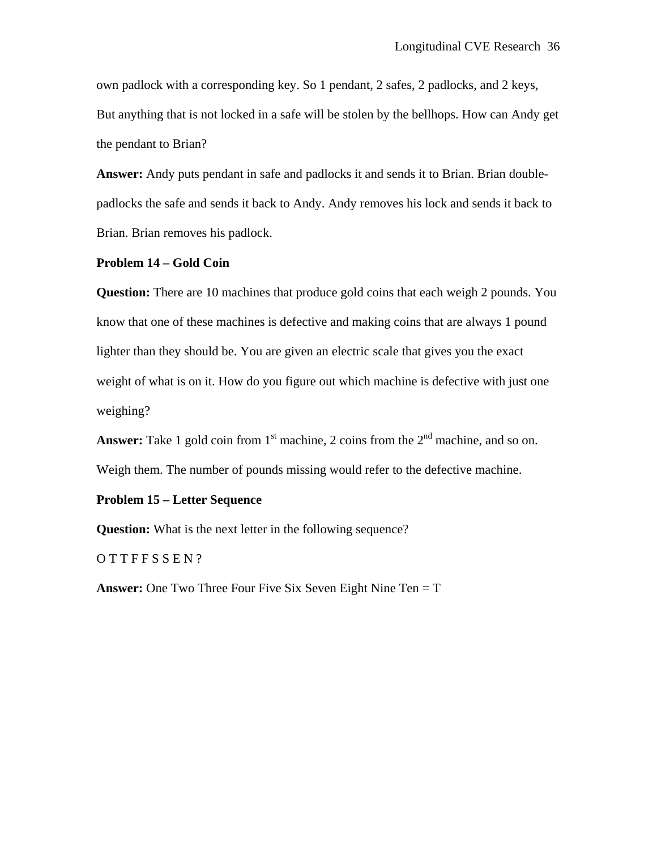own padlock with a corresponding key. So 1 pendant, 2 safes, 2 padlocks, and 2 keys, But anything that is not locked in a safe will be stolen by the bellhops. How can Andy get the pendant to Brian?

**Answer:** Andy puts pendant in safe and padlocks it and sends it to Brian. Brian doublepadlocks the safe and sends it back to Andy. Andy removes his lock and sends it back to Brian. Brian removes his padlock.

#### **Problem 14 – Gold Coin**

**Question:** There are 10 machines that produce gold coins that each weigh 2 pounds. You know that one of these machines is defective and making coins that are always 1 pound lighter than they should be. You are given an electric scale that gives you the exact weight of what is on it. How do you figure out which machine is defective with just one weighing?

**Answer:** Take 1 gold coin from  $1<sup>st</sup>$  machine, 2 coins from the  $2<sup>nd</sup>$  machine, and so on. Weigh them. The number of pounds missing would refer to the defective machine.

#### **Problem 15 – Letter Sequence**

**Question:** What is the next letter in the following sequence?

OTTFFSSEN?

**Answer:** One Two Three Four Five Six Seven Eight Nine Ten = T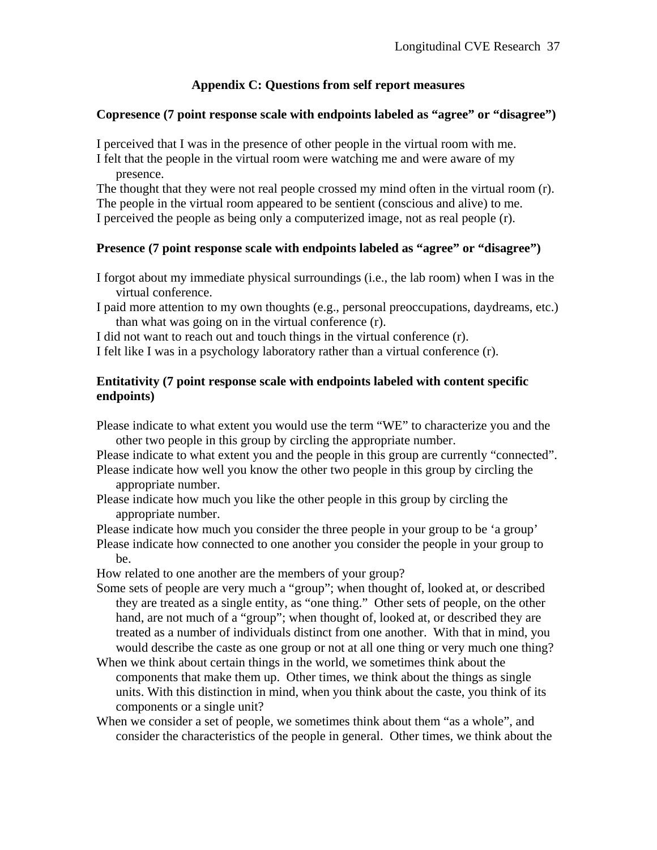# **Appendix C: Questions from self report measures**

## **Copresence (7 point response scale with endpoints labeled as "agree" or "disagree")**

I perceived that I was in the presence of other people in the virtual room with me.

I felt that the people in the virtual room were watching me and were aware of my presence.

The thought that they were not real people crossed my mind often in the virtual room (r). The people in the virtual room appeared to be sentient (conscious and alive) to me. I perceived the people as being only a computerized image, not as real people (r).

## **Presence (7 point response scale with endpoints labeled as "agree" or "disagree")**

- I forgot about my immediate physical surroundings (i.e., the lab room) when I was in the virtual conference.
- I paid more attention to my own thoughts (e.g., personal preoccupations, daydreams, etc.) than what was going on in the virtual conference (r).

I did not want to reach out and touch things in the virtual conference (r).

I felt like I was in a psychology laboratory rather than a virtual conference (r).

## **Entitativity (7 point response scale with endpoints labeled with content specific endpoints)**

Please indicate to what extent you would use the term "WE" to characterize you and the other two people in this group by circling the appropriate number.

Please indicate to what extent you and the people in this group are currently "connected". Please indicate how well you know the other two people in this group by circling the

appropriate number.

Please indicate how much you like the other people in this group by circling the appropriate number.

Please indicate how much you consider the three people in your group to be 'a group'

Please indicate how connected to one another you consider the people in your group to be.

How related to one another are the members of your group?

- Some sets of people are very much a "group"; when thought of, looked at, or described they are treated as a single entity, as "one thing." Other sets of people, on the other hand, are not much of a "group"; when thought of, looked at, or described they are treated as a number of individuals distinct from one another. With that in mind, you would describe the caste as one group or not at all one thing or very much one thing?
- When we think about certain things in the world, we sometimes think about the components that make them up. Other times, we think about the things as single units. With this distinction in mind, when you think about the caste, you think of its components or a single unit?
- When we consider a set of people, we sometimes think about them "as a whole", and consider the characteristics of the people in general. Other times, we think about the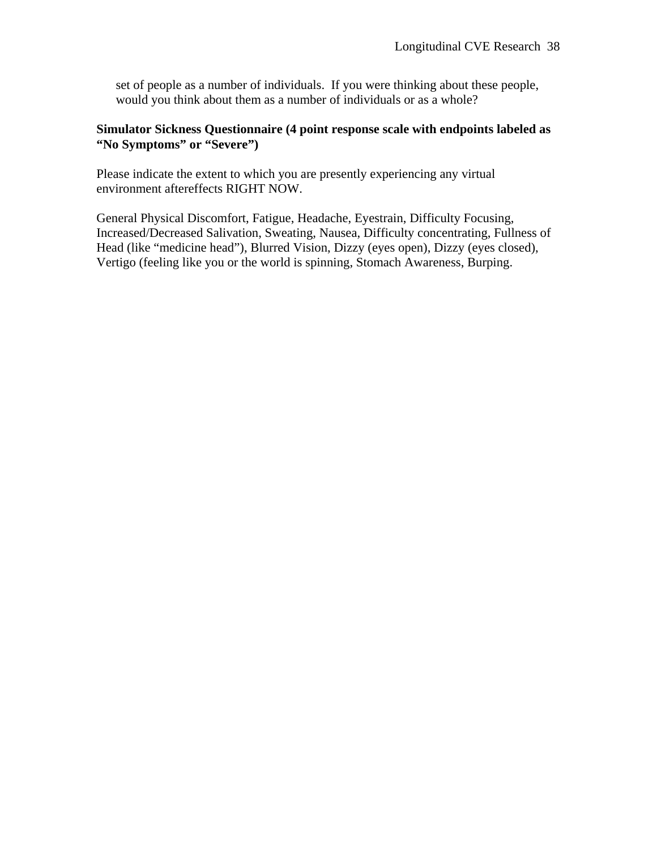set of people as a number of individuals. If you were thinking about these people, would you think about them as a number of individuals or as a whole?

## **Simulator Sickness Questionnaire (4 point response scale with endpoints labeled as "No Symptoms" or "Severe")**

Please indicate the extent to which you are presently experiencing any virtual environment aftereffects RIGHT NOW.

General Physical Discomfort, Fatigue, Headache, Eyestrain, Difficulty Focusing, Increased/Decreased Salivation, Sweating, Nausea, Difficulty concentrating, Fullness of Head (like "medicine head"), Blurred Vision, Dizzy (eyes open), Dizzy (eyes closed), Vertigo (feeling like you or the world is spinning, Stomach Awareness, Burping.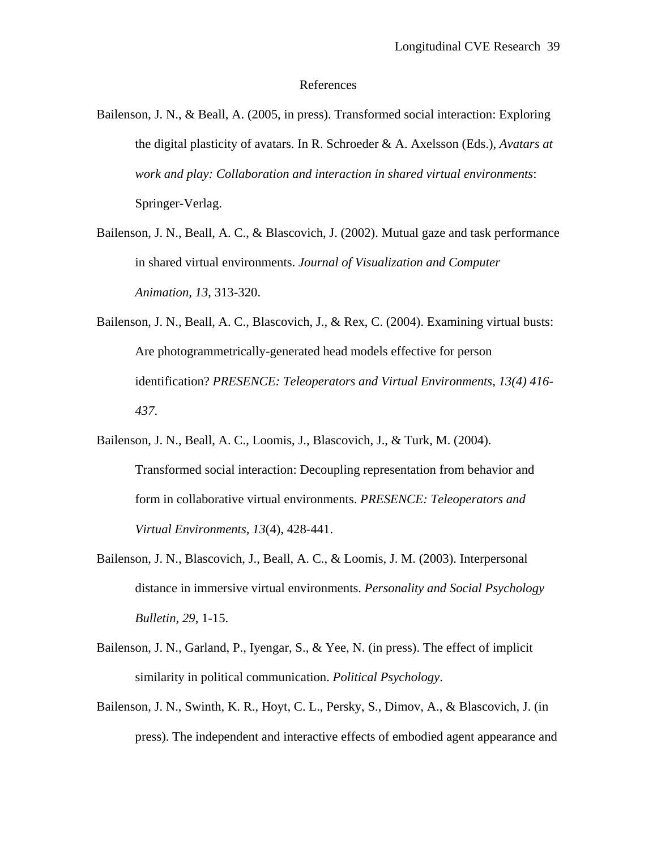#### References

- Bailenson, J. N., & Beall, A. (2005, in press). Transformed social interaction: Exploring the digital plasticity of avatars. In R. Schroeder & A. Axelsson (Eds.), *Avatars at work and play: Collaboration and interaction in shared virtual environments*: Springer-Verlag.
- Bailenson, J. N., Beall, A. C., & Blascovich, J. (2002). Mutual gaze and task performance in shared virtual environments. *Journal of Visualization and Computer Animation, 13*, 313-320.
- Bailenson, J. N., Beall, A. C., Blascovich, J., & Rex, C. (2004). Examining virtual busts: Are photogrammetrically-generated head models effective for person identification? *PRESENCE: Teleoperators and Virtual Environments, 13(4) 416- 437*.
- Bailenson, J. N., Beall, A. C., Loomis, J., Blascovich, J., & Turk, M. (2004). Transformed social interaction: Decoupling representation from behavior and form in collaborative virtual environments. *PRESENCE: Teleoperators and Virtual Environments, 13*(4), 428-441.
- Bailenson, J. N., Blascovich, J., Beall, A. C., & Loomis, J. M. (2003). Interpersonal distance in immersive virtual environments. *Personality and Social Psychology Bulletin, 29*, 1-15.
- Bailenson, J. N., Garland, P., Iyengar, S., & Yee, N. (in press). The effect of implicit similarity in political communication. *Political Psychology*.
- Bailenson, J. N., Swinth, K. R., Hoyt, C. L., Persky, S., Dimov, A., & Blascovich, J. (in press). The independent and interactive effects of embodied agent appearance and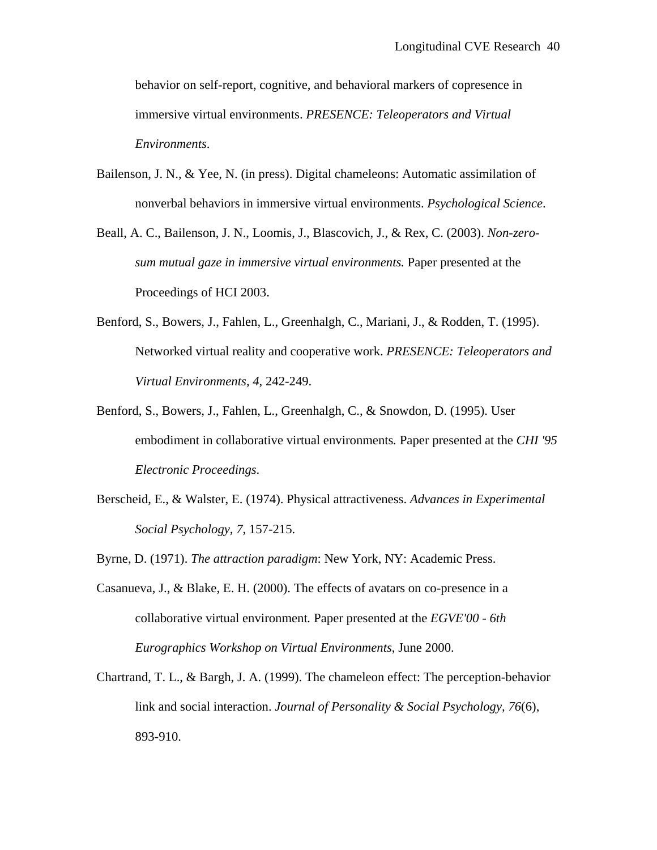behavior on self-report, cognitive, and behavioral markers of copresence in immersive virtual environments. *PRESENCE: Teleoperators and Virtual Environments*.

- Bailenson, J. N., & Yee, N. (in press). Digital chameleons: Automatic assimilation of nonverbal behaviors in immersive virtual environments. *Psychological Science*.
- Beall, A. C., Bailenson, J. N., Loomis, J., Blascovich, J., & Rex, C. (2003). *Non-zerosum mutual gaze in immersive virtual environments.* Paper presented at the Proceedings of HCI 2003.
- Benford, S., Bowers, J., Fahlen, L., Greenhalgh, C., Mariani, J., & Rodden, T. (1995). Networked virtual reality and cooperative work. *PRESENCE: Teleoperators and Virtual Environments, 4*, 242-249.
- Benford, S., Bowers, J., Fahlen, L., Greenhalgh, C., & Snowdon, D. (1995). User embodiment in collaborative virtual environments*.* Paper presented at the *CHI '95 Electronic Proceedings*.
- Berscheid, E., & Walster, E. (1974). Physical attractiveness. *Advances in Experimental Social Psychology, 7*, 157-215.
- Byrne, D. (1971). *The attraction paradigm*: New York, NY: Academic Press.
- Casanueva, J., & Blake, E. H. (2000). The effects of avatars on co-presence in a collaborative virtual environment*.* Paper presented at the *EGVE'00 - 6th Eurographics Workshop on Virtual Environments*, June 2000.
- Chartrand, T. L., & Bargh, J. A. (1999). The chameleon effect: The perception-behavior link and social interaction. *Journal of Personality & Social Psychology, 76*(6), 893-910.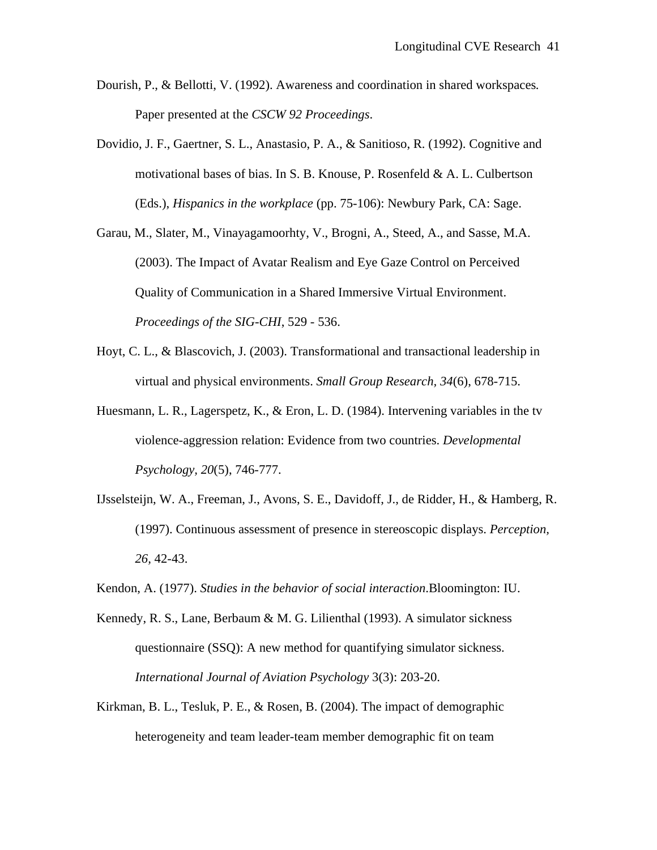- Dourish, P., & Bellotti, V. (1992). Awareness and coordination in shared workspaces*.* Paper presented at the *CSCW 92 Proceedings*.
- Dovidio, J. F., Gaertner, S. L., Anastasio, P. A., & Sanitioso, R. (1992). Cognitive and motivational bases of bias. In S. B. Knouse, P. Rosenfeld & A. L. Culbertson (Eds.), *Hispanics in the workplace* (pp. 75-106): Newbury Park, CA: Sage.
- Garau, M., Slater, M., Vinayagamoorhty, V., Brogni, A., Steed, A., and Sasse, M.A. (2003). The Impact of Avatar Realism and Eye Gaze Control on Perceived Quality of Communication in a Shared Immersive Virtual Environment. *Proceedings of the SIG-CHI*, 529 - 536.
- Hoyt, C. L., & Blascovich, J. (2003). Transformational and transactional leadership in virtual and physical environments. *Small Group Research, 34*(6), 678-715.
- Huesmann, L. R., Lagerspetz, K., & Eron, L. D. (1984). Intervening variables in the tv violence-aggression relation: Evidence from two countries. *Developmental Psychology, 20*(5), 746-777.
- IJsselsteijn, W. A., Freeman, J., Avons, S. E., Davidoff, J., de Ridder, H., & Hamberg, R. (1997). Continuous assessment of presence in stereoscopic displays. *Perception, 26,* 42-43.
- Kendon, A. (1977). *Studies in the behavior of social interaction*.Bloomington: IU.
- Kennedy, R. S., Lane, Berbaum & M. G. Lilienthal (1993). A simulator sickness questionnaire (SSQ): A new method for quantifying simulator sickness. *International Journal of Aviation Psychology* 3(3): 203-20.
- Kirkman, B. L., Tesluk, P. E., & Rosen, B. (2004). The impact of demographic heterogeneity and team leader-team member demographic fit on team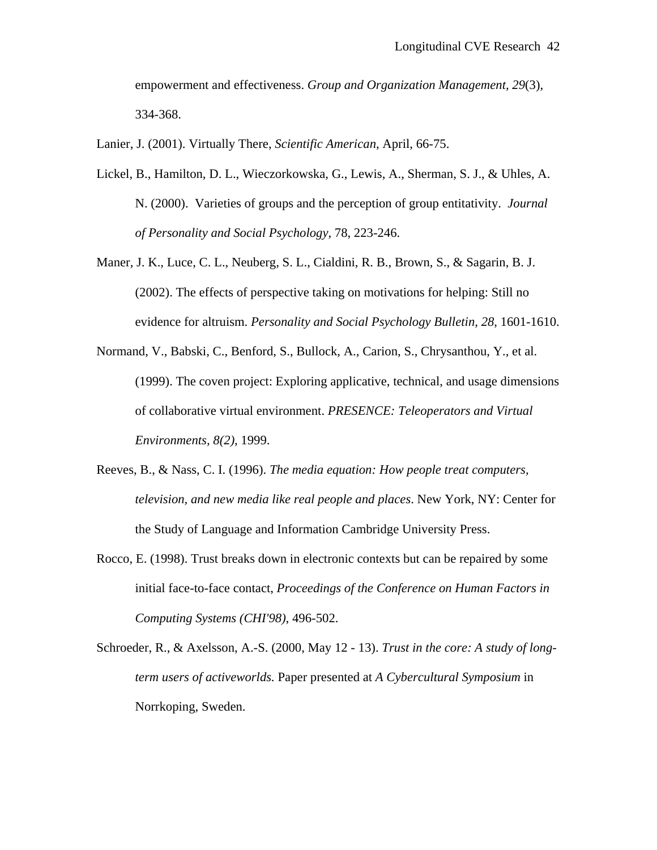empowerment and effectiveness. *Group and Organization Management, 29*(3), 334-368.

Lanier, J. (2001). Virtually There, *Scientific American*, April, 66-75.

- Lickel, B., Hamilton, D. L., Wieczorkowska, G., Lewis, A., Sherman, S. J., & Uhles, A. N. (2000). Varieties of groups and the perception of group entitativity. *Journal of Personality and Social Psychology*, 78, 223-246.
- Maner, J. K., Luce, C. L., Neuberg, S. L., Cialdini, R. B., Brown, S., & Sagarin, B. J. (2002). The effects of perspective taking on motivations for helping: Still no evidence for altruism. *Personality and Social Psychology Bulletin, 28*, 1601-1610.
- Normand, V., Babski, C., Benford, S., Bullock, A., Carion, S., Chrysanthou, Y., et al. (1999). The coven project: Exploring applicative, technical, and usage dimensions of collaborative virtual environment. *PRESENCE: Teleoperators and Virtual Environments, 8(2)*, 1999.
- Reeves, B., & Nass, C. I. (1996). *The media equation: How people treat computers, television, and new media like real people and places*. New York, NY: Center for the Study of Language and Information Cambridge University Press.
- Rocco, E. (1998). Trust breaks down in electronic contexts but can be repaired by some initial face-to-face contact, *Proceedings of the Conference on Human Factors in Computing Systems (CHI'98)*, 496-502.
- Schroeder, R., & Axelsson, A.-S. (2000, May 12 13). *Trust in the core: A study of longterm users of activeworlds.* Paper presented at *A Cybercultural Symposium* in Norrkoping, Sweden.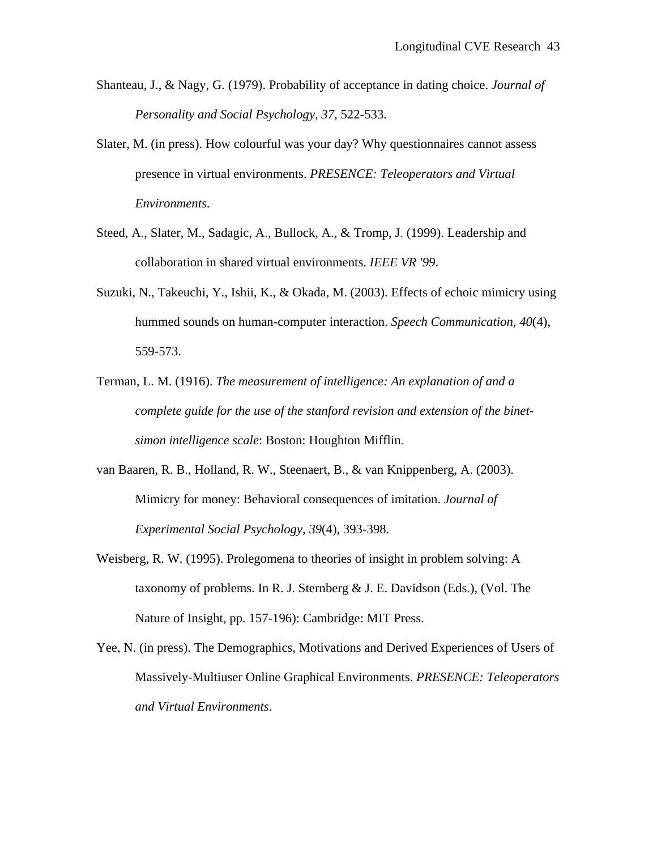- Shanteau, J., & Nagy, G. (1979). Probability of acceptance in dating choice. *Journal of Personality and Social Psychology, 37*, 522-533.
- Slater, M. (in press). How colourful was your day? Why questionnaires cannot assess presence in virtual environments. *PRESENCE: Teleoperators and Virtual Environments*.
- Steed, A., Slater, M., Sadagic, A., Bullock, A., & Tromp, J. (1999). Leadership and collaboration in shared virtual environments. *IEEE VR '99*.
- Suzuki, N., Takeuchi, Y., Ishii, K., & Okada, M. (2003). Effects of echoic mimicry using hummed sounds on human-computer interaction. *Speech Communication, 40*(4), 559-573.
- Terman, L. M. (1916). *The measurement of intelligence: An explanation of and a complete guide for the use of the stanford revision and extension of the binetsimon intelligence scale*: Boston: Houghton Mifflin.
- van Baaren, R. B., Holland, R. W., Steenaert, B., & van Knippenberg, A. (2003). Mimicry for money: Behavioral consequences of imitation. *Journal of Experimental Social Psychology, 39*(4), 393-398.
- Weisberg, R. W. (1995). Prolegomena to theories of insight in problem solving: A taxonomy of problems. In R. J. Sternberg  $&$  J. E. Davidson (Eds.), (Vol. The Nature of Insight, pp. 157-196): Cambridge: MIT Press.
- Yee, N. (in press). The Demographics, Motivations and Derived Experiences of Users of Massively-Multiuser Online Graphical Environments. *PRESENCE: Teleoperators and Virtual Environments*.